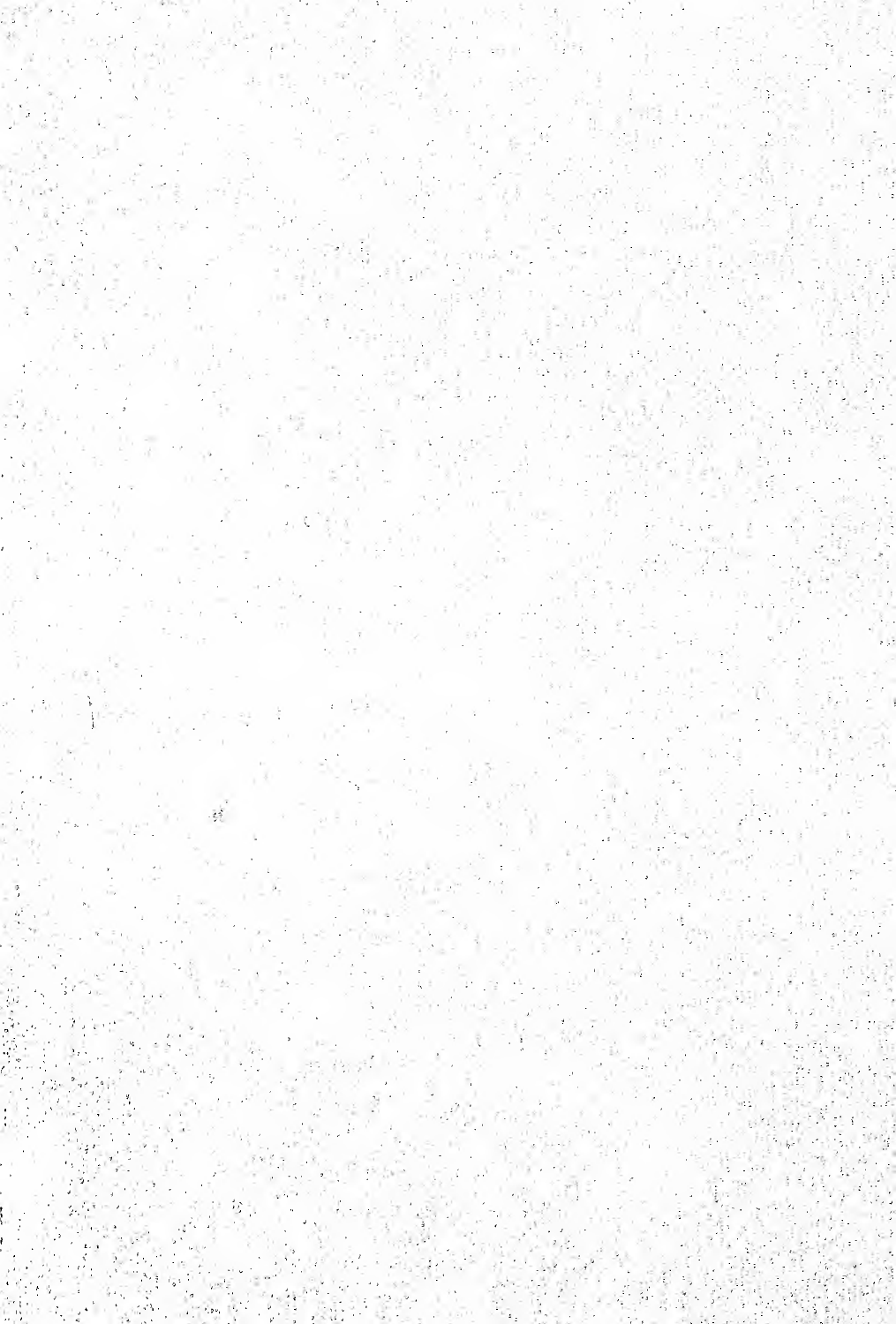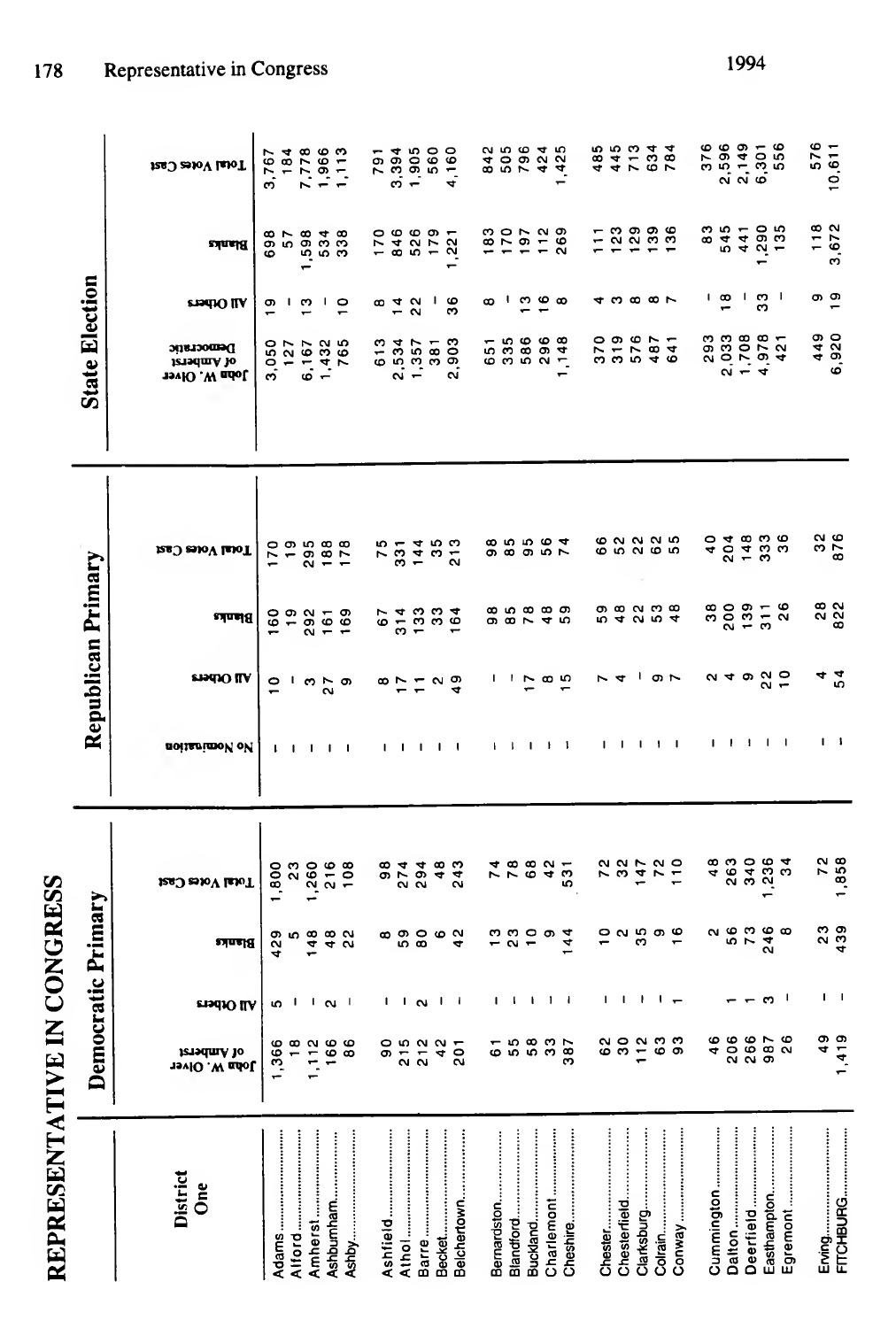| 1 |
|---|
| i |
|   |
| d |
|   |
|   |
|   |
|   |
|   |
|   |
|   |
|   |
|   |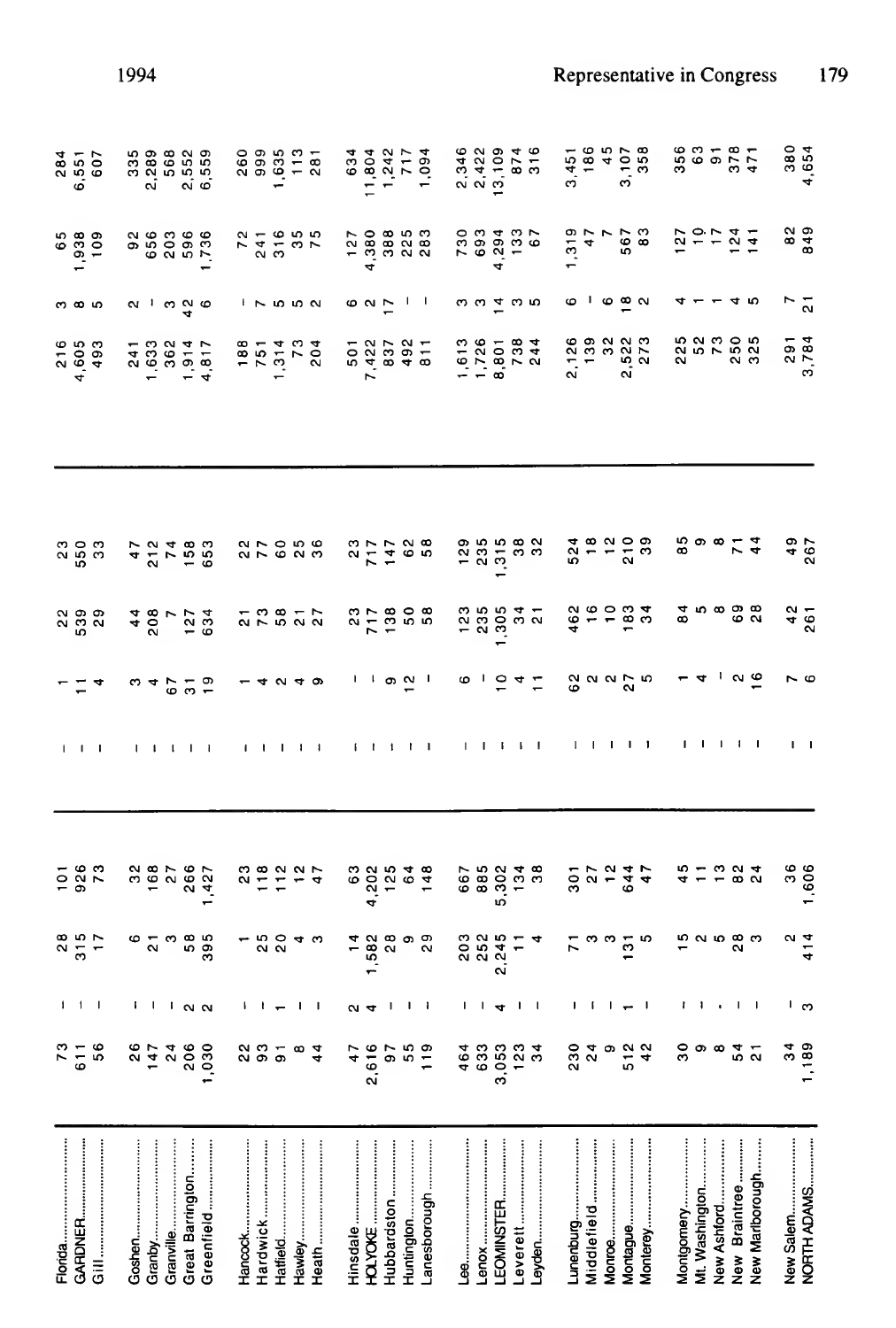| GARDNER                | 73              | $28$<br>$315$       | $\frac{58}{9}$     | $\blacksquare$ |                      | ລ<br>ລຶຕ<br>ທ້              | 23<br>253                                        | 216<br>4,605<br>493                                           | ო და ო                     | 891<br>886<br>691        | 284<br>6,551<br>607             |
|------------------------|-----------------|---------------------|--------------------|----------------|----------------------|-----------------------------|--------------------------------------------------|---------------------------------------------------------------|----------------------------|--------------------------|---------------------------------|
|                        | 56              |                     |                    | - 1            |                      |                             |                                                  |                                                               |                            |                          |                                 |
|                        |                 |                     |                    |                |                      |                             |                                                  |                                                               |                            |                          |                                 |
|                        | 26              |                     | 32                 |                |                      |                             |                                                  | 241                                                           | ω                          |                          |                                 |
|                        | 147             | $\overline{a}$      | 168                |                | ო ჟ                  |                             |                                                  |                                                               |                            | 92<br>656                |                                 |
|                        | $\frac{4}{3}$   |                     | $\tilde{z}$        |                |                      |                             |                                                  |                                                               |                            |                          |                                 |
| Great Barrington       | 206             | ო ფ<br>ი            | 266                |                | 57                   | $48 - 23$                   | $47$<br>$71$<br>$71$<br>$75$<br>$15$<br><br>$15$ | $1,633$<br>$1,914$<br>$1,817$<br>$4,817$                      | က သူ ဖ                     | 203<br>596<br>736        | 33882<br>38882<br>2.555         |
|                        | 030             | 395                 | 1,427              |                | $\frac{9}{2}$        |                             | 653                                              |                                                               |                            |                          |                                 |
|                        |                 |                     |                    |                |                      |                             |                                                  |                                                               |                            |                          |                                 |
|                        |                 |                     |                    |                |                      |                             |                                                  | 188                                                           |                            |                          |                                 |
|                        | 2<br>200<br>20  |                     |                    |                |                      |                             |                                                  | 751                                                           |                            |                          |                                 |
|                        |                 |                     | 3222               |                |                      |                             |                                                  | .314                                                          | <i>-</i> 7 5 7 9 7 9 7     | 24585<br>24587           |                                 |
|                        |                 |                     |                    |                | ▿                    |                             |                                                  | $\overline{r}$                                                |                            |                          |                                 |
|                        | 44              |                     | $\frac{1}{4}$      |                | $\sigma$             | 22822<br>22922              | 27058<br>27023                                   | 204                                                           |                            |                          | 281                             |
|                        | $\frac{1}{4}$   | $\frac{4}{1}$       |                    |                |                      |                             | $\overline{2}3$                                  | 501                                                           |                            |                          |                                 |
|                        |                 |                     | 63<br>4,202<br>125 |                |                      |                             |                                                  | 7,422                                                         | $\circ$ a $\sim$           | $4.380$<br>$380$         |                                 |
| Hubbardston            | 2,616<br>97     | 1,582<br>28         |                    |                |                      |                             | $717$<br>147                                     | 837                                                           |                            |                          |                                 |
|                        | 55              |                     | 64                 |                | $\frac{6}{1}$        | 85 5 8 8<br>25 5 9 8        | $62$<br>58                                       | 492                                                           |                            | 225<br>283               | 634<br>11,804<br>1,242<br>1,094 |
|                        | 119             |                     |                    |                |                      |                             |                                                  | $\frac{1}{8}$                                                 |                            |                          |                                 |
|                        |                 | 29                  | 148                |                |                      |                             |                                                  |                                                               |                            |                          |                                 |
|                        | 464             |                     |                    | ī              |                      |                             | 129                                              |                                                               |                            |                          |                                 |
|                        | 633             |                     | 667<br>885         |                |                      | 123                         | 235                                              |                                                               | ოო                         |                          |                                 |
| LEOMINSTER             | 3,053           | 203<br>252<br>2,245 | 5,302              | J.             | $\frac{1}{2}$        | .305                        | 1,315                                            | $\begin{array}{c} 1,613 \\ 1,726 \\ 8,801 \\ 738 \end{array}$ | $\frac{4}{4}$              | 000300<br>000300<br>0007 | 2.346<br>2.422<br>13,109        |
|                        |                 | Ξ                   |                    |                |                      |                             |                                                  |                                                               |                            |                          | 874<br>316                      |
|                        | 123             |                     | $134$<br>38        |                | サロ                   | $\frac{4}{5}$ $\frac{1}{2}$ | 32<br>32                                         | 244                                                           |                            |                          |                                 |
|                        |                 |                     |                    |                |                      |                             |                                                  |                                                               |                            | 1,319                    |                                 |
|                        | 230<br>24       | $\overline{1}$      |                    | I.             |                      | 462                         | 524                                              |                                                               |                            |                          |                                 |
|                        |                 | ოო                  | 57247              | п              | 82275<br>82          | ៖ ទង្គ                      | $\frac{8}{1}$                                    | 2,126<br>139<br>32                                            |                            | 47                       | 3,451<br>186<br>45              |
|                        |                 |                     |                    | $\mathbf{I}$   |                      |                             | 12                                               |                                                               | $\circ$                    |                          |                                 |
|                        | 512             | $\frac{1}{2}$       |                    | ı.             |                      |                             | $210$<br>$39$                                    | 2,522<br>273                                                  | $\frac{8}{5}$ $\alpha$     | 567<br>83                | 3,107<br>358                    |
|                        | 42              |                     |                    | $\mathbf{I}$   |                      |                             |                                                  |                                                               |                            |                          |                                 |
|                        | $\frac{0}{3}$   |                     | 45                 |                |                      | $\frac{4}{3}$               | 85                                               |                                                               |                            |                          | 3500                            |
| Vit. Washington        |                 |                     |                    |                |                      |                             |                                                  |                                                               |                            |                          |                                 |
| New Ashford            | တ ထ             | 5<br>15<br>15<br>20 | $\frac{3}{2}$      |                |                      | œ                           | တ ထ                                              |                                                               | 22<br>22<br>22<br>22<br>22 | 요우도질표                    |                                 |
|                        |                 |                     | $\frac{8}{2}$      | ŧ              |                      |                             | $\overline{1}$                                   |                                                               |                            |                          | 378<br>471                      |
| <b>New Marlborough</b> | $\frac{4}{2}$ 7 |                     | $\overline{24}$    |                | $\sim$ $\frac{6}{5}$ | 38                          | $\frac{4}{4}$                                    |                                                               |                            |                          |                                 |
|                        |                 |                     |                    |                |                      |                             |                                                  |                                                               |                            |                          |                                 |
|                        | $34$<br>$1,189$ |                     | 36<br>1,606        |                |                      |                             |                                                  | 291<br>3,784                                                  |                            | 82<br>84<br>84           | 380<br>4,654                    |
|                        |                 | 414                 |                    |                |                      | $42$<br>261                 | 49<br>267                                        |                                                               | $\overline{2}$             |                          |                                 |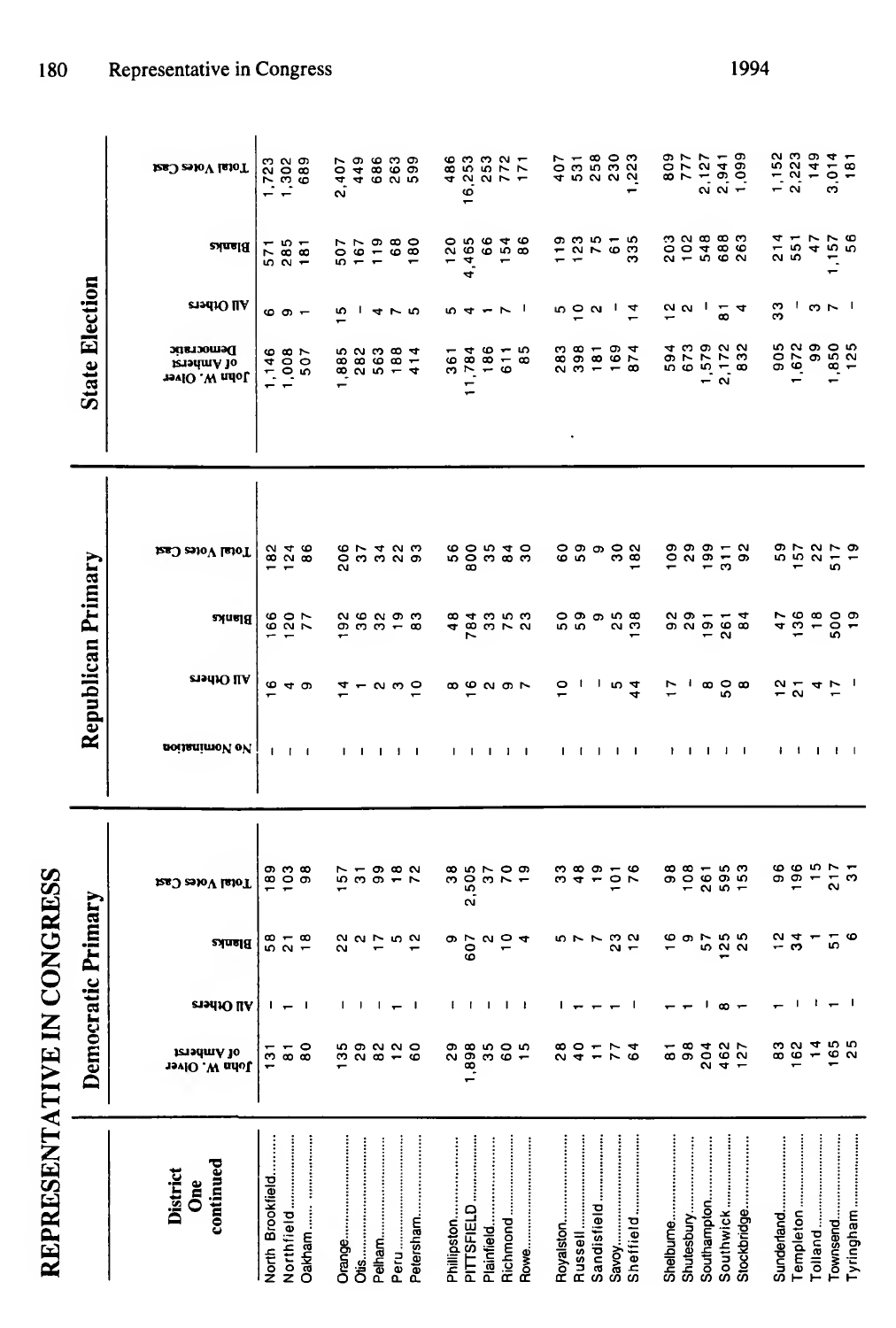| REPRESENTATIVE IN CONGRESS                  |                                                         |                                       |                                   |                                |                          |                                                         |                                                                                |                                            |                                          |                        |                     |                                                |
|---------------------------------------------|---------------------------------------------------------|---------------------------------------|-----------------------------------|--------------------------------|--------------------------|---------------------------------------------------------|--------------------------------------------------------------------------------|--------------------------------------------|------------------------------------------|------------------------|---------------------|------------------------------------------------|
|                                             | Democratic Primary                                      |                                       |                                   |                                |                          | Republican Primary                                      |                                                                                |                                            | <b>State Election</b>                    |                        |                     |                                                |
| continued<br><b>District</b><br>$rac{1}{2}$ | ot Amberst<br>John W. Olver                             | <b>SIMIO IIV</b>                      | ञण्गाप्त                          | Total Votes Cast               | noisanimoV oV            | <b>NII Others</b>                                       | សកសត                                                                           | Total Votes Cast                           | John W. Olver<br>of Amhers<br>Democratic | <b>SIMIO IIV</b>       | <b>caland</b>       | Total Votes Cast                               |
| <b>Jorth Brookfield</b>                     |                                                         |                                       |                                   | 189                            | 1                        | G                                                       |                                                                                |                                            | 1,146                                    |                        |                     | 1,723                                          |
|                                             | $\frac{1}{2}$ $\frac{1}{2}$ $\frac{1}{2}$ $\frac{1}{2}$ |                                       | 5<br>2<br>1<br>3                  | $103$<br>98                    |                          |                                                         | $\frac{66}{127}$                                                               | $\frac{82}{1}$ $\frac{4}{9}$ $\frac{6}{9}$ |                                          | $\circ$ $\circ$ $-$    | $\frac{71}{285}$    | $1,302$<br>689                                 |
|                                             |                                                         |                                       |                                   |                                |                          | + თ                                                     |                                                                                |                                            | 1,008                                    |                        |                     |                                                |
|                                             |                                                         |                                       |                                   |                                |                          |                                                         |                                                                                |                                            | 1,885                                    | $\overline{5}$         |                     | 248628<br>048628<br>24862                      |
|                                             |                                                         |                                       |                                   |                                | 1                        |                                                         |                                                                                |                                            |                                          |                        |                     |                                                |
|                                             | <u>ក្នុង</u><br>ក្នុង                                   |                                       | $2^{\circ}$ $\sim$                | 5700                           |                          |                                                         |                                                                                |                                            | 282<br>563                               | 4                      | 881<br>2010<br>2010 |                                                |
| Peru                                        |                                                         |                                       |                                   |                                | $\mathbf{I}$             |                                                         |                                                                                |                                            |                                          | $\sim$ 10              |                     |                                                |
|                                             | $\frac{2}{6}$                                           |                                       | 52                                |                                | $\mathbf{I}$             | $\begin{array}{c} 2 & 0 \\ 0 & 0 \end{array}$           | $\begin{array}{c} 2 & 0 & 0 & 0 \\ 0 & 0 & 0 & 0 \\ 0 & 0 & 0 & 0 \end{array}$ | 85383<br>8538                              | $188$<br>414                             |                        |                     |                                                |
|                                             | 29                                                      |                                       | თ                                 | 38                             |                          |                                                         |                                                                                |                                            | 361                                      |                        |                     | 486                                            |
| PITTSFIELD                                  |                                                         | $\mathbf I$                           | 607                               | 2,505                          | J.                       |                                                         |                                                                                |                                            | 11,784                                   |                        | 120<br>4,465        |                                                |
|                                             | 1,898<br>35                                             | $\begin{array}{c} \hline \end{array}$ |                                   | 5                              |                          | $\frac{1}{2}$ $\frac{1}{2}$ $\frac{1}{2}$ $\frac{1}{2}$ | <b>48252</b><br>48252                                                          | <b>88838</b>                               | 186                                      |                        | 66                  | $16.253$<br>$772$<br>$171$                     |
|                                             | $rac{0}{15}$                                            | τ.                                    | $\tilde{ }$                       | $\tilde{z}$                    | $\pmb{\mathsf{I}}$       |                                                         |                                                                                |                                            | 611                                      |                        | $154$<br>86         |                                                |
|                                             |                                                         |                                       |                                   |                                | - 1                      |                                                         |                                                                                |                                            | 85                                       |                        |                     |                                                |
| Royalston.                                  |                                                         |                                       |                                   | 33                             | 1                        | $\frac{1}{2}$                                           |                                                                                |                                            |                                          |                        |                     |                                                |
|                                             | 280                                                     |                                       |                                   | 48                             | t                        | J                                                       | 5 0<br>5 0                                                                     | 6 0<br>5 0                                 | 283<br>398                               | ທ ⊇ ໙                  | 22558               | <b>ទុ</b> ក្ខុ ខ្លួន<br>ទុក្ខ ខ្លួន            |
|                                             | Ξ                                                       |                                       |                                   | $\frac{9}{2}$                  | ı                        | J.                                                      | ¢                                                                              | $\bullet$                                  | $\frac{18}{1}$                           |                        |                     |                                                |
|                                             | 7 4<br>6 4                                              |                                       | 23                                | $\frac{101}{76}$               | 1                        | 64                                                      | $25$<br>138                                                                    | 300                                        | 169<br>874                               | $\mathbf{I}$           |                     |                                                |
|                                             |                                                         |                                       |                                   |                                | $\overline{\phantom{a}}$ |                                                         |                                                                                |                                            |                                          | $\overline{a}$         |                     |                                                |
|                                             |                                                         |                                       | $\frac{6}{1}$                     |                                | ı.                       | $\overline{1}$                                          |                                                                                |                                            | 594                                      | $\frac{1}{2}$ $\alpha$ |                     | 8057<br>777758<br>2090<br>2090                 |
| Shutesbury                                  |                                                         |                                       | o                                 |                                | п                        |                                                         |                                                                                |                                            |                                          |                        |                     |                                                |
|                                             | " # # # # #<br><u># # # #</u>                           |                                       |                                   | 98<br>198<br>261               | $\mathbf{I}$             | $\infty$                                                | ទី ខ្លួន                                                                       | <b>23252</b>                               | 673<br>1.579                             | p                      | 3<br>20488<br>20488 |                                                |
|                                             |                                                         |                                       | 57<br>59<br>25                    | 595                            | $\mathbf{I}$             | $50^{\circ}$                                            |                                                                                |                                            | 2,172<br>832                             | $\overline{6}$         |                     |                                                |
|                                             |                                                         |                                       |                                   |                                | $\mathbf{I}$             |                                                         |                                                                                |                                            |                                          | A                      |                     |                                                |
|                                             |                                                         |                                       |                                   | 96                             |                          |                                                         |                                                                                |                                            |                                          | 33                     |                     |                                                |
|                                             |                                                         |                                       |                                   |                                |                          | 27                                                      |                                                                                |                                            |                                          |                        | $214$<br>551        |                                                |
|                                             |                                                         |                                       | $\frac{8}{10}$ $\frac{4}{10}$ $-$ |                                |                          |                                                         |                                                                                |                                            | 905<br>1,672<br>99                       | ო                      | 47                  |                                                |
|                                             | 82188                                                   |                                       | $\frac{1}{10}$ $\frac{6}{10}$     | $196$<br>$217$<br>$21$<br>$51$ |                          | $\frac{4}{7}$                                           |                                                                                | <b>002259</b>                              | 1,850<br>125                             |                        | 1,157<br>56         | $1.52$<br>$2.23$<br>$3.64$<br>$3.61$<br>$3.61$ |
|                                             |                                                         |                                       |                                   |                                |                          |                                                         |                                                                                |                                            |                                          |                        |                     |                                                |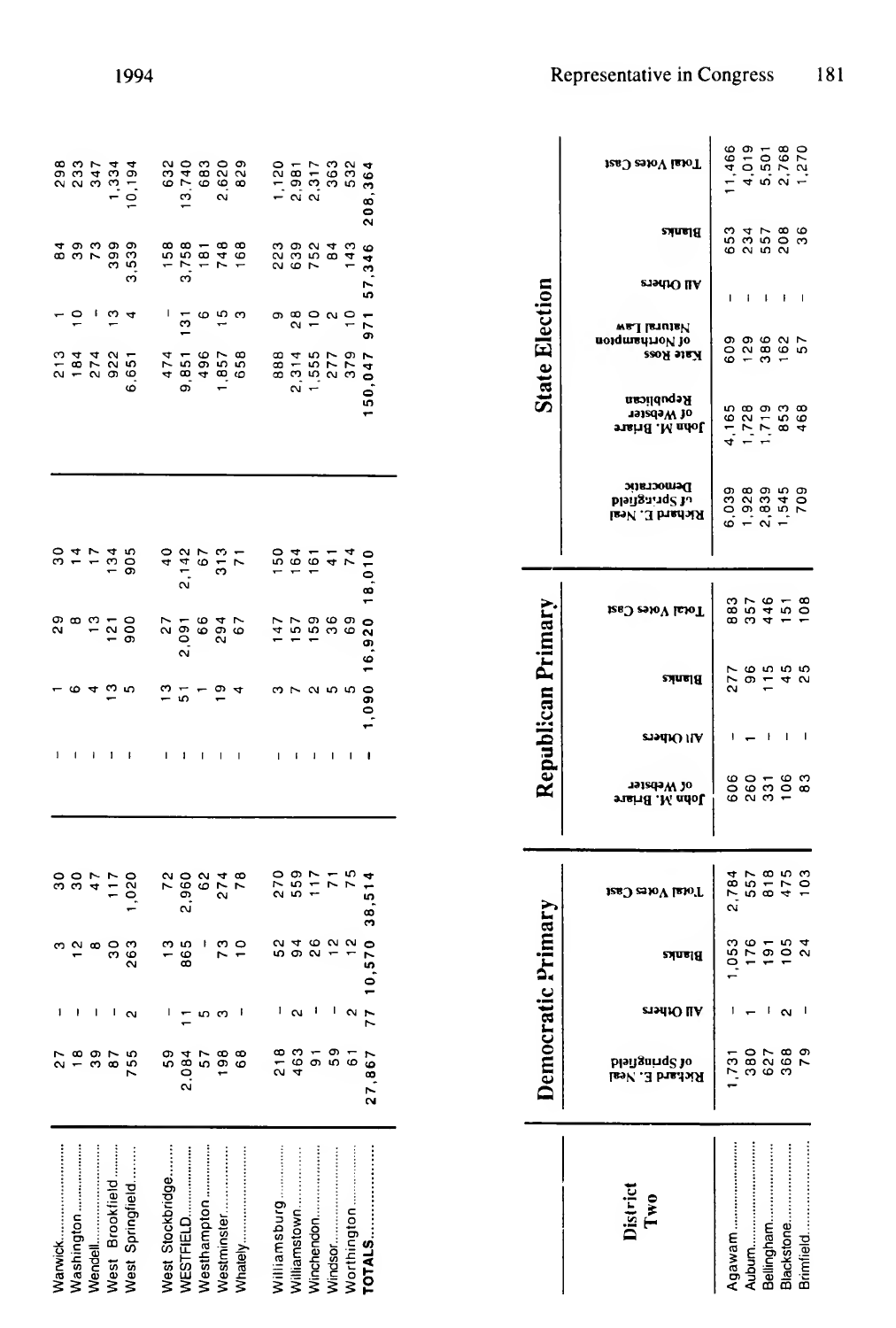|                  | ္တ                         |               |                    |                                                                                                                                 |                                         |                             |                                                                                                                                                                                                                                                                                                        |                                | $-5.5$                                                                                                          |                          |                                                        |
|------------------|----------------------------|---------------|--------------------|---------------------------------------------------------------------------------------------------------------------------------|-----------------------------------------|-----------------------------|--------------------------------------------------------------------------------------------------------------------------------------------------------------------------------------------------------------------------------------------------------------------------------------------------------|--------------------------------|-----------------------------------------------------------------------------------------------------------------|--------------------------|--------------------------------------------------------|
|                  | 67                         |               | ິນ<br>ເສື້ອງ<br>ອ້ |                                                                                                                                 | $\sigma$ 4 $\overline{\omega}$ $\sigma$ | ឌ <sub>ី</sub> ក្នុង និ     | $97 - 798$<br>$999$                                                                                                                                                                                                                                                                                    | 21944<br>2022<br>2022<br>2023  |                                                                                                                 |                          | 2224<br>2225<br>2225                                   |
| West Springfield | 755                        |               |                    |                                                                                                                                 |                                         |                             |                                                                                                                                                                                                                                                                                                        |                                | $\overline{a}$                                                                                                  |                          |                                                        |
| West Stockbridge |                            |               | $780 + 72$         |                                                                                                                                 | $\frac{3}{5}$                           |                             | $2,14,6,7$<br>$2,15,7$<br>$5,7$<br>$7,7$                                                                                                                                                                                                                                                               |                                | $\frac{1}{2}$ $\frac{1}{2}$ $\frac{1}{2}$ $\frac{1}{2}$ $\frac{1}{2}$ $\frac{1}{2}$ $\frac{1}{2}$ $\frac{1}{2}$ |                          | 632<br>13,740<br>2,620<br>2,629                        |
| WESTFIELD.       |                            |               |                    |                                                                                                                                 |                                         |                             |                                                                                                                                                                                                                                                                                                        |                                |                                                                                                                 |                          |                                                        |
| Westhampton      |                            |               |                    |                                                                                                                                 |                                         |                             |                                                                                                                                                                                                                                                                                                        |                                |                                                                                                                 |                          |                                                        |
|                  | 89<br>2005<br>2015<br>2015 | $\frac{1}{2}$ |                    |                                                                                                                                 | $-54$                                   |                             |                                                                                                                                                                                                                                                                                                        | 474<br>9.851<br>9.496<br>9.958 |                                                                                                                 |                          |                                                        |
|                  |                            |               |                    |                                                                                                                                 |                                         | $2.091$ $2.094$ $2.94$ $67$ |                                                                                                                                                                                                                                                                                                        |                                |                                                                                                                 |                          |                                                        |
| Williamsburg     |                            |               |                    |                                                                                                                                 |                                         |                             |                                                                                                                                                                                                                                                                                                        |                                |                                                                                                                 |                          |                                                        |
| Williamstown     | 218<br>463<br>91           |               |                    | $\begin{array}{cccc}\n & - & 52 & 270 \\  & 94 & 559 \\  & - & 26 & 117 \\  & - & 12 & 75 \\  & 10 & 570 & 38.544\n\end{array}$ |                                         |                             | $150$<br>$164$<br>$161$                                                                                                                                                                                                                                                                                | 888<br>2.31557<br>2.779<br>379 | $^{0}$ $^{0}$ $^{0}$ $^{0}$ $^{0}$ $^{0}$ $^{0}$                                                                | 200234<br>200234<br>2012 | $1,120$<br>$2,981$<br>$2,317$<br>$2,962$<br>$2,08,364$ |
|                  |                            |               |                    |                                                                                                                                 |                                         |                             |                                                                                                                                                                                                                                                                                                        |                                |                                                                                                                 |                          |                                                        |
|                  | 59                         |               |                    |                                                                                                                                 |                                         |                             |                                                                                                                                                                                                                                                                                                        |                                |                                                                                                                 |                          |                                                        |
|                  | 27,867                     |               |                    |                                                                                                                                 |                                         |                             |                                                                                                                                                                                                                                                                                                        |                                |                                                                                                                 |                          |                                                        |
| TOTALS.          |                            |               |                    |                                                                                                                                 |                                         |                             | $\begin{bmatrix} 147 & 150 \\ 150 & 150 \\ 157 & 154 \\ 158 & 154 \\ 159 & 154 \\ 151 & 154 \\ 151 & 154 \\ 151 & 154 \\ 151 & 154 \\ 151 & 154 \\ 151 & 154 \\ 151 & 154 \\ 151 & 154 \\ 151 & 152 \\ 151 & 152 \\ 151 & 152 \\ 151 & 152 \\ 151 & 152 \\ 151 & 152 \\ 151 & 152 \\ 151 & 152 \\ 152$ | 50,047                         |                                                                                                                 | 971 57,346               |                                                        |
|                  |                            |               |                    |                                                                                                                                 |                                         |                             |                                                                                                                                                                                                                                                                                                        |                                |                                                                                                                 |                          |                                                        |

|                       | $1$ otal $Vol$ es Cast                          |               |     | $1400$<br>$4000$<br>$4000$<br>$700$<br>$700$<br>$1$ |                |                            |
|-----------------------|-------------------------------------------------|---------------|-----|-----------------------------------------------------|----------------|----------------------------|
|                       | डज़गण प्र                                       |               |     | 0 1 1 0 0<br>0 1 0 0 0<br>0 0 0 0                   |                |                            |
|                       | азчю пу                                         | Ï             | I   | J.                                                  | ł              | Ï                          |
| <b>State Election</b> | we.I IsnuteV<br>of Northampton<br>Kate Ross     |               |     |                                                     |                |                            |
|                       | Republican<br>of Webster<br>John M. Briare      |               |     | 4.165<br>1.729<br>4.1.7.3<br>4.1.7                  |                | 468                        |
|                       | of Springfield<br>Democratic<br>Richard E. Neal |               |     |                                                     |                |                            |
|                       | Total Votes Cast                                |               |     | 857458                                              |                |                            |
| Republican Primar     | ऽत्रप्रचाप्त                                    | 277           |     | $\frac{6}{15}$                                      | 45             | 25                         |
|                       | <b>SJPITO IIV</b>                               | ١             |     | t                                                   | $\blacksquare$ | $\overline{1}$             |
|                       | John M. Briare<br>The Webster                   |               |     | 00700<br>00700                                      |                |                            |
|                       | $1$ otal Vota Cast                              |               |     |                                                     |                | 2<br>2<br>2<br>2<br>2<br>2 |
| emocratic Prima       | ध्यमना                                          | 053           | 176 |                                                     |                | $\frac{195}{104}$          |
|                       | <b>STARTO LLA</b>                               | I             |     | ı                                                   | $\sim$         |                            |
|                       | pjagandg jo<br>Retard E. Neal                   | $\frac{5}{2}$ | 380 | 627                                                 | 368            | 79                         |
|                       | District<br>Two                                 |               |     |                                                     |                |                            |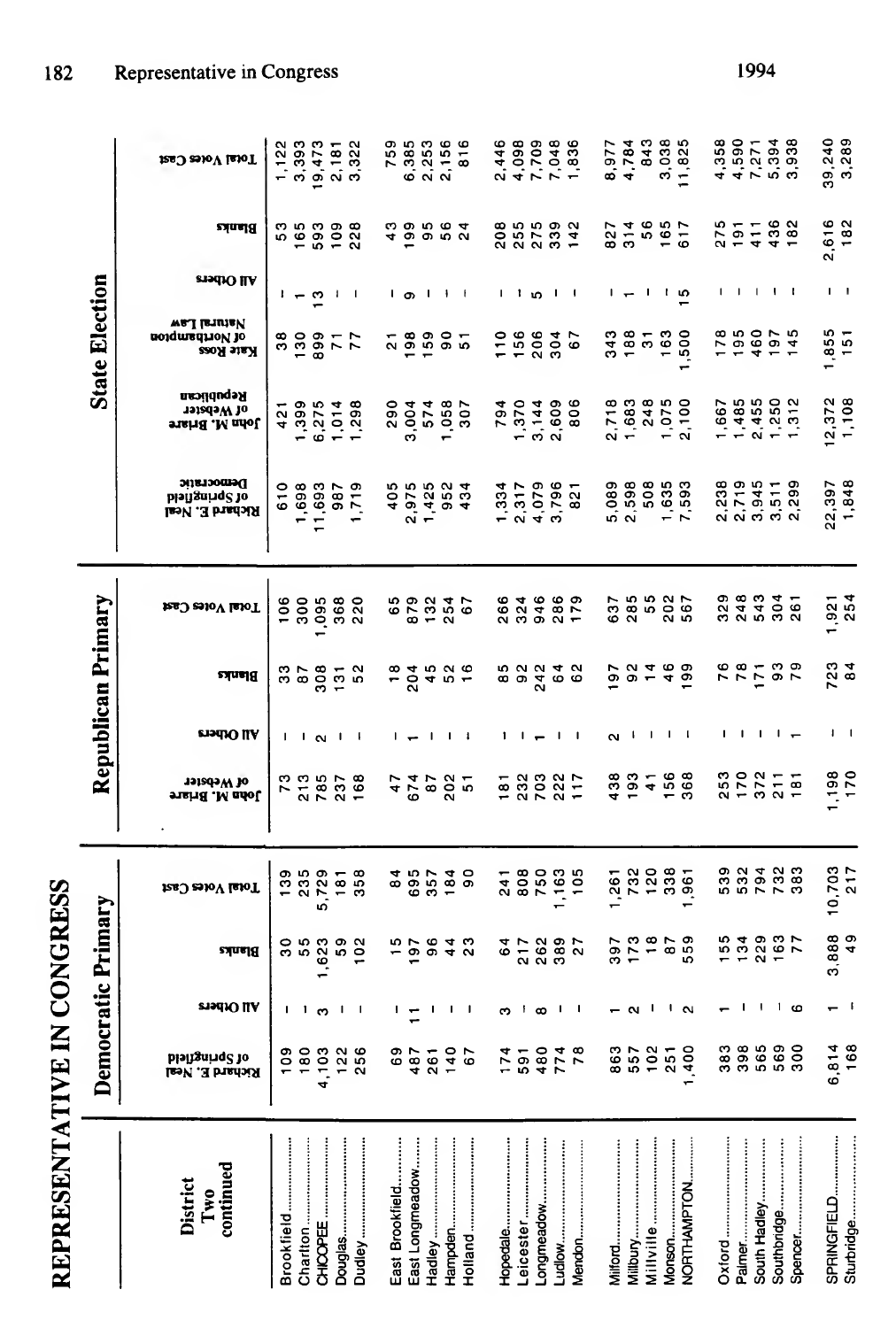| ĵ |
|---|
|   |
|   |
|   |
| l |
|   |
|   |
|   |
|   |
|   |
|   |
|   |
|   |
|   |
|   |
|   |
|   |
|   |
|   |
|   |
|   |
|   |
|   |
|   |
|   |

|                              | Democratic Primary                                            |                     |                        |                                     |                              |                   | Republican Primary |                                     |                                                      |                                            | <b>State Election</b>                        |                   |                                                                                            |                                         |
|------------------------------|---------------------------------------------------------------|---------------------|------------------------|-------------------------------------|------------------------------|-------------------|--------------------|-------------------------------------|------------------------------------------------------|--------------------------------------------|----------------------------------------------|-------------------|--------------------------------------------------------------------------------------------|-----------------------------------------|
| District<br>Two<br>continued | pjay8uµdς jo<br>Richard E. Neal                               | <b>SIMORES</b>      | ध्यप्रबाद              | <b>Total Votes Cast</b>             | of Webster<br>John M. Briare | <b>ELPERO TIV</b> | Blanks             | Total Votes Cast                    | Democratic<br>praganudg jo<br><b>Richard E. Neal</b> | Republican<br>of Webster<br>John M. Briare | wa I letutali<br>of Northampton<br>Kate Ross | <b>VII Orpers</b> | ध्यम्बद्                                                                                   | <b>Total Votes Cast</b>                 |
|                              | 09                                                            |                     |                        |                                     | 73                           |                   |                    | 106                                 | 610                                                  | 421                                        |                                              |                   |                                                                                            | 1,122                                   |
| Charlton.                    | 180                                                           |                     |                        |                                     |                              |                   | 35                 | $\frac{8}{3}$                       |                                                      |                                            |                                              |                   |                                                                                            |                                         |
| <b>CHOOPEE</b>               | 4,103                                                         | ø                   |                        | $\frac{139}{235}$<br>5,729          |                              | $\sim$            |                    | 095                                 | 1,698<br>1,693<br>1,719<br>1,719                     | 307148                                     | 17.85<br>285                                 | უ                 | 5<br>5<br>5<br>5<br>5<br>5<br>5<br>5<br>5<br>5<br>5<br>5<br>5<br>5<br>5<br>2<br>5<br>2<br> | 3.393<br>3.473<br>3.322                 |
|                              | 122                                                           |                     |                        | 181                                 |                              |                   |                    | 368                                 |                                                      |                                            |                                              |                   |                                                                                            |                                         |
|                              | 256                                                           |                     | ខ្លួនទី១               | 358                                 | 213<br>785<br>168<br>168     |                   | 353                | 220                                 |                                                      |                                            |                                              |                   |                                                                                            |                                         |
|                              |                                                               |                     |                        |                                     |                              |                   |                    |                                     |                                                      |                                            |                                              |                   |                                                                                            |                                         |
| East Longmeadow              |                                                               | ! 드                 |                        |                                     |                              |                   |                    |                                     | $35824$<br>$25924$<br>$25924$                        |                                            | ត ទី ទី ទី ឆ                                 | ്ത                | 4 9 9 19 9<br>4 9 9 19 9                                                                   | 75853<br>C353<br>C3156<br>C31           |
| Hadley                       |                                                               |                     |                        |                                     |                              |                   |                    |                                     |                                                      |                                            |                                              |                   |                                                                                            |                                         |
| lampden.                     |                                                               | $1 \quad 1 \quad 1$ |                        |                                     |                              |                   |                    |                                     |                                                      |                                            |                                              | ٠                 |                                                                                            |                                         |
| tolland                      | 8<br>8<br>8<br>8<br>8<br>8<br>8<br>8<br>8<br>8<br>8<br>8<br>1 |                     | 5942                   | a 852 38<br>885 38                  | 42925                        |                   | $-84.86$           | 88236                               |                                                      |                                            |                                              |                   |                                                                                            |                                         |
| topedale                     |                                                               |                     |                        |                                     | $\frac{1}{2}$                |                   | 85                 |                                     |                                                      |                                            |                                              |                   |                                                                                            |                                         |
|                              |                                                               |                     |                        |                                     |                              |                   |                    |                                     |                                                      |                                            |                                              |                   |                                                                                            |                                         |
| .ongmeadow.                  |                                                               | ் ல                 |                        | 241<br>808<br>750                   |                              |                   |                    |                                     |                                                      |                                            |                                              |                   |                                                                                            |                                         |
| udlow.                       |                                                               |                     |                        |                                     | 23<br>28<br>22<br>17         |                   | 9 3 4 9<br>9 3 4 9 | 833827<br>833827                    | 331788<br>231788<br>23178                            | $794$<br>$7.740$<br>$7.760$<br>$2.608$     | <b>25885</b>                                 |                   | 8<br>8 8 8 8 9 9<br>8 8 8 8 9                                                              | $2.30888$ $2.30888$ $2.30888$ $2.30888$ |
| /lendon                      | <b>25878</b><br>25847                                         |                     | 372337                 | 163                                 |                              |                   |                    |                                     |                                                      |                                            |                                              |                   |                                                                                            |                                         |
|                              | 863                                                           |                     |                        |                                     |                              |                   | 197                |                                     |                                                      |                                            |                                              |                   |                                                                                            | 8,977<br>4,784<br>4,038<br>5,025        |
|                              |                                                               |                     |                        |                                     |                              |                   | 3                  |                                     |                                                      |                                            |                                              |                   |                                                                                            |                                         |
| dillville                    | 557<br>102<br>251                                             |                     |                        |                                     | 8 2 4<br>8 9 4               |                   |                    | 635<br>885<br>687                   |                                                      | 2,7183<br>2,833<br>2,1075<br>2,102         | a a e e e e<br>Santa e e e                   |                   | 827<br>514<br>515<br>517                                                                   |                                         |
|                              |                                                               |                     |                        |                                     |                              |                   |                    |                                     |                                                      |                                            |                                              |                   |                                                                                            |                                         |
| <b>JORTHAMPTON</b>           | 400                                                           |                     | 821<br>822<br>823      | $281$<br>$7328$<br>$981$            | 156<br>368                   |                   | 7400               |                                     | 088885<br>0.08865<br>0.0985                          |                                            |                                              | ပ                 |                                                                                            |                                         |
| Dxford                       |                                                               |                     |                        |                                     |                              |                   |                    |                                     |                                                      |                                            |                                              |                   |                                                                                            | 350738<br>350738<br>44166               |
|                              |                                                               |                     |                        |                                     |                              |                   |                    |                                     |                                                      |                                            |                                              |                   |                                                                                            |                                         |
|                              |                                                               |                     |                        |                                     |                              |                   |                    |                                     |                                                      |                                            | 2990745<br>29907                             |                   | 25182<br>25182                                                                             |                                         |
| Southbridge                  |                                                               |                     |                        |                                     |                              |                   |                    |                                     |                                                      |                                            |                                              |                   |                                                                                            |                                         |
|                              | 8<br>8 8 8 8 8<br>8 8 8 8 8                                   |                     | <b>223277</b><br>22257 | 0 2 4 2 6<br>0 0 0 0 0<br>0 0 1 1 0 | 252755<br>25275              |                   | <b>88788</b>       | 0 8 9 9 5<br>0 8 9 9 0<br>0 8 0 0 0 | 239<br>215<br>215<br>216<br>216                      | $0.48502$<br>$0.49502$<br>$0.7507$         |                                              |                   |                                                                                            |                                         |
|                              |                                                               |                     |                        |                                     |                              |                   |                    |                                     |                                                      |                                            | 1,855<br>151                                 |                   | 2,616<br>182                                                                               | 39,240<br>3,289                         |
|                              | 6,814<br>168                                                  |                     | 3,888                  | 10,703                              | $1,198$<br>170               |                   | 723<br>84          | 1,921<br>254                        | 22,397<br>1,848                                      | $12.372$<br>1,108                          |                                              |                   |                                                                                            |                                         |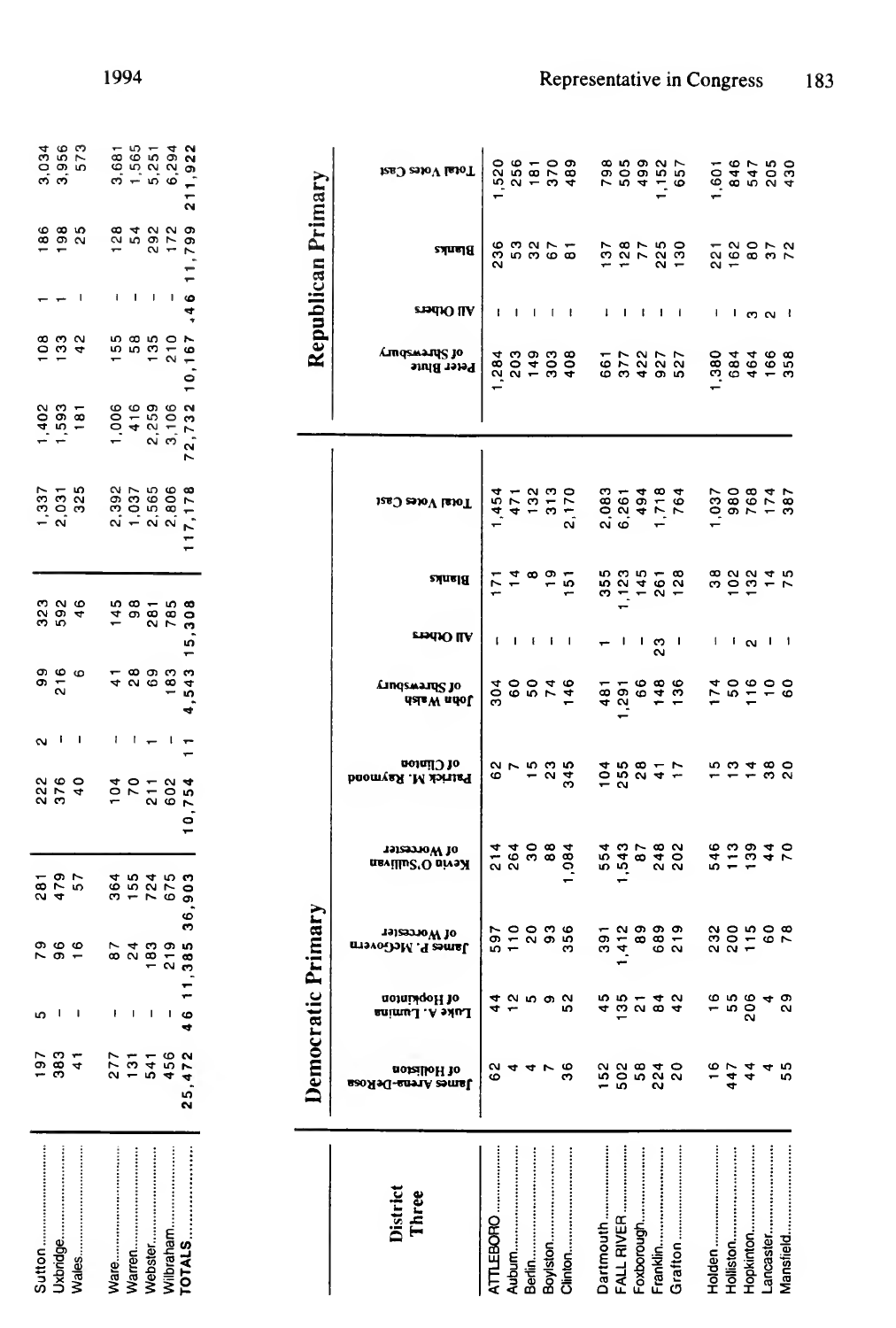| of Clinton<br>87533<br>bnomyaR .M Abrus q<br>סן אסיבפאני<br>22<br>22<br>22<br>nevillu2'O nival | <i>і</i> порылацу зо<br>John Walsh |                                  |                  |                                                        |                             | Republican Primary                   |                                 |
|------------------------------------------------------------------------------------------------|------------------------------------|----------------------------------|------------------|--------------------------------------------------------|-----------------------------|--------------------------------------|---------------------------------|
|                                                                                                |                                    |                                  |                  |                                                        |                             |                                      |                                 |
|                                                                                                |                                    | ऽतृप्रबाद्य<br><b>SIPITO ITV</b> | Total Votes Cast | Amqsmanys Jo<br>Peter Blute                            | <b>SJPITO ITV</b>           | <b>sanal</b> d                       | Total Votes Cast                |
|                                                                                                |                                    | Ξ<br>t                           |                  | $\frac{8}{2}$                                          | t                           |                                      |                                 |
|                                                                                                |                                    | $\ddot{ }$                       |                  |                                                        | ı                           |                                      |                                 |
|                                                                                                | 88874                              | $\infty$                         |                  | 0 9 9 9<br>0 <del>9</del> 9 9<br>0 – 9 9               |                             | 8<br>8<br>8<br>8<br>8<br>8<br>8<br>8 |                                 |
|                                                                                                |                                    | 151                              |                  |                                                        | ľ                           |                                      |                                 |
| .084                                                                                           |                                    |                                  |                  |                                                        | ı                           |                                      | <b>225588</b><br>22558          |
| 554                                                                                            |                                    |                                  |                  |                                                        |                             |                                      | 799927<br>799927<br>79997       |
|                                                                                                | $481$<br>$291$                     |                                  |                  |                                                        | Ï                           |                                      |                                 |
|                                                                                                | $66$<br>148                        | 8245<br>8245                     |                  |                                                        | ï                           |                                      |                                 |
|                                                                                                |                                    | 2                                |                  | $5727$<br>$5727$<br>$597$                              |                             |                                      |                                 |
|                                                                                                |                                    | 128                              |                  |                                                        |                             |                                      |                                 |
|                                                                                                |                                    |                                  |                  | 380                                                    |                             |                                      |                                 |
|                                                                                                |                                    |                                  |                  |                                                        |                             |                                      |                                 |
|                                                                                                |                                    |                                  |                  |                                                        |                             |                                      | 0.85<br>0.4409<br>0.859         |
|                                                                                                |                                    |                                  |                  |                                                        |                             |                                      |                                 |
|                                                                                                |                                    |                                  |                  |                                                        |                             |                                      |                                 |
| 55788<br>25877<br>n 222 212 22<br>222 223 224                                                  | 289200<br>136                      | 88875<br>$\sim$                  |                  | 185<br>1988<br>1974<br>1975<br>2083<br>0.2094<br>2.004 | 84<br>8665<br>84 - 8<br>527 | ოი                                   | <b>22782</b><br>22782<br>218872 |

 $\begin{array}{r} 3.6881 \\ 1.5651 \\ 5.294 \\ 6.294 \\ 211.922 \end{array}$  $\frac{66}{198}$  $28402$ <br> $2932$ 11,799  $.46$  $\mathbf{I}$  $\overline{1}$  $\mathbf{I}$  $\overline{1}$  $\mathbf{I}$  $\overline{\phantom{a}}$  $\frac{8}{1} \cdot \frac{3}{4} \cdot \frac{3}{4}$  $1580$ <br> $1580$ <br> $210$ 10.167  $1,402$ <br> $1,593$ <br> $181$ 1,006 2,259<br>3,106 72.732  $\frac{1}{2}$ , 337<br>2, 031<br>325  $2,392$ <br>  $1,033$ <br>  $2,565$ <br>  $2,806$ <br>  $117,178$  $145$ <br>98 281<br>785<br>15,308 32346  $3000000000$ 4,543  $\frac{1}{4}$ 28<br>29<br>29<br>29  $\boldsymbol{\sim}$  $\mathbf{I}$  $\mathbf{I}$ ï  $\mathbf{I}$  $\leftarrow$   $\perp$  $\frac{1}{2}$  $\begin{array}{r} 104 \\ 70 \\ 211 \\ 602 \\ 10,754 \end{array}$  $222$ <br> $376$ <br> $40$ 281<br>479<br>57 864<br>1524<br>1575<br>1675<br>16903  $796$ 11.385 82832  $\ddot{4}$ ဖ  $\overline{\phantom{a}}$  $\overline{\phantom{a}}$ ł  $\bar{1}$  $\bar{1}$  $\bar{1}$  $\begin{array}{c} 197 \\ 383 \\ 41 \end{array}$ 277<br>1545<br>454 25.472 Uxbridge....... Sutton<sub>-</sub> Wales......

3,034<br>3,956<br>573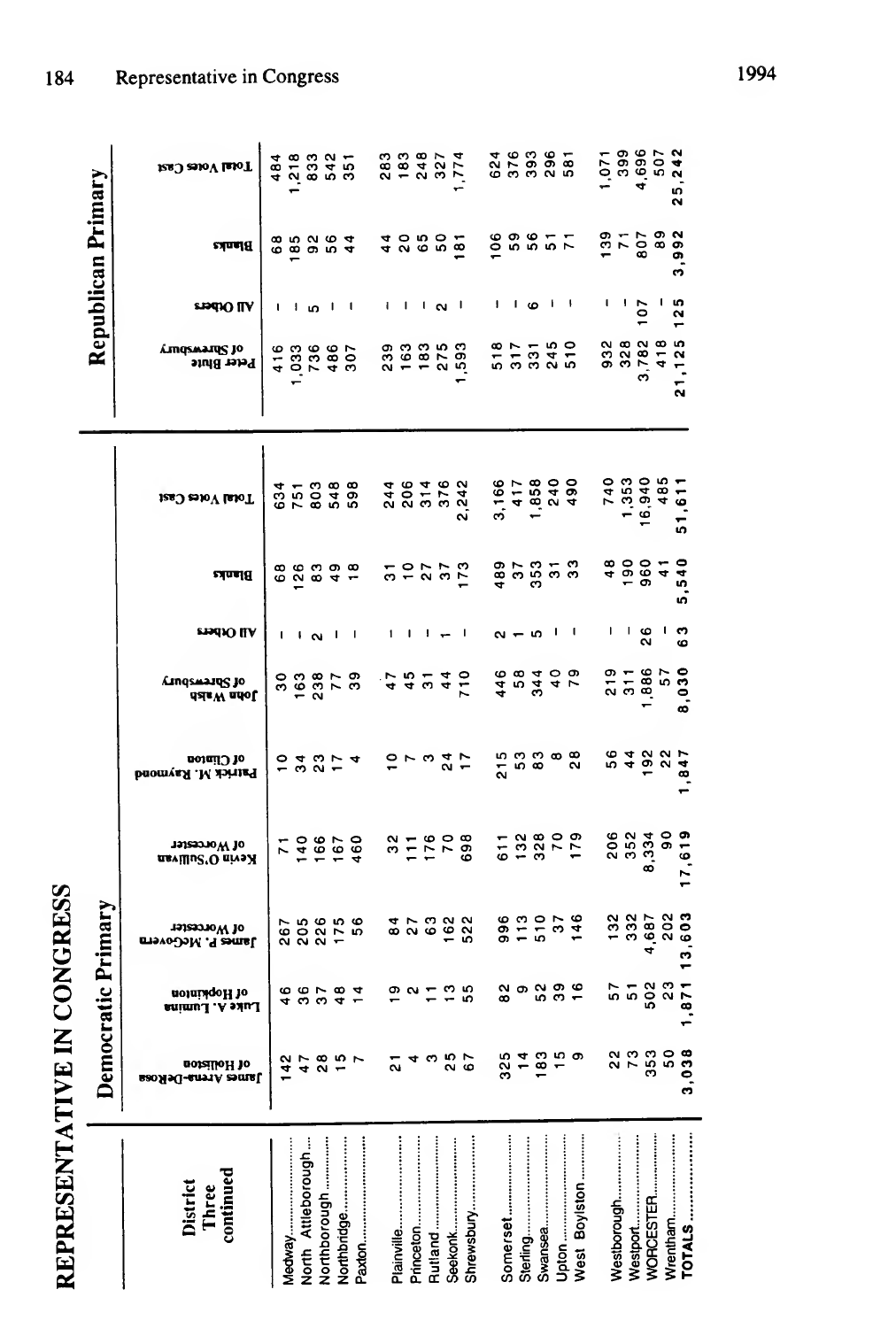| REPRESENTATIVE IN CONGRESS     |                                   |                                |                                   |                                          |                                        |                             |                          |                  |                                  |                                         |                          |                    |                           |
|--------------------------------|-----------------------------------|--------------------------------|-----------------------------------|------------------------------------------|----------------------------------------|-----------------------------|--------------------------|------------------|----------------------------------|-----------------------------------------|--------------------------|--------------------|---------------------------|
|                                |                                   |                                | Democratic Primary                |                                          |                                        |                             |                          |                  |                                  |                                         |                          | Republican Primary |                           |
| District<br>Three<br>continued | oorailoH 10<br>James Arena-DeRosa | ao Hopkinton<br>Luke A. Lumina | of Worcester<br>James P. McGovern | Jaisaano M Jo<br><b>Revillu2'O nivel</b> | of Clinton<br><b>bnomyaA</b> .M abrued | AmqsmarqS Jo<br>John Walsh  | азчю пу                  | ञण्गाप्          | Total Votes Cast                 | ámqsмалqs J0<br>Peter Blute             | spqtQ IIV                | ध्यमम्             | $\Gamma$ otal Votes Cast  |
|                                |                                   |                                |                                   |                                          |                                        | ິສ                          | ι                        |                  |                                  | 416                                     |                          |                    |                           |
|                                | $\frac{2}{4}$                     |                                | 267                               |                                          |                                        |                             |                          |                  |                                  |                                         |                          |                    |                           |
| North Attleborough             | 47                                |                                |                                   |                                          |                                        |                             | LΝ                       |                  |                                  |                                         | ്ശ                       |                    |                           |
|                                | $35 - 7$                          | $8.84 + 0.4$                   |                                   |                                          | $38 - 2$                               | ខ្លួកន                      | $\overline{\phantom{a}}$ | 8833.8<br>8833.9 | 85088<br>85088<br>8508           | 038<br>03857<br>0385                    | - 1                      | 88864              | 3<br>2003<br>2003<br>2003 |
| Northbridge                    |                                   |                                |                                   |                                          |                                        |                             |                          |                  |                                  |                                         |                          |                    |                           |
|                                |                                   |                                | 205<br>225<br>5<br>5<br>5<br>5    | 7146046                                  | $\overline{\phantom{a}}$               |                             | $\overline{\phantom{a}}$ |                  |                                  |                                         |                          |                    |                           |
|                                |                                   |                                |                                   |                                          |                                        | 47                          | 1                        |                  |                                  | 239                                     | ı                        |                    | 283                       |
|                                | ត                                 |                                |                                   |                                          |                                        |                             | ı                        |                  |                                  |                                         |                          |                    |                           |
|                                |                                   |                                |                                   |                                          |                                        | $\frac{1}{4}$ $\frac{1}{6}$ |                          |                  |                                  |                                         |                          |                    |                           |
|                                |                                   | <b>은 ~ ㄷ 은 없</b>               | 82828                             | 35588                                    | 5007                                   |                             |                          | 52225<br>2010    | 225522<br>2011<br>2012<br>2022   | $18300$<br>$-250$                       | $\sqrt{2}$               | 42655              | $783$<br>$787$<br>$774$   |
|                                |                                   |                                |                                   |                                          |                                        |                             |                          |                  |                                  |                                         | $\overline{\phantom{a}}$ |                    |                           |
|                                | 4 9 10 0<br>4 9 10 0              |                                |                                   |                                          |                                        | 44                          |                          |                  |                                  |                                         |                          |                    |                           |
|                                |                                   |                                |                                   |                                          |                                        |                             |                          |                  |                                  |                                         | ١                        | 0.8857             | a 2<br>8<br>8<br>8<br>8   |
|                                |                                   |                                |                                   |                                          | 21<br>20<br>20                         |                             | $\alpha - \varpi$        |                  |                                  |                                         |                          |                    |                           |
|                                |                                   |                                |                                   |                                          |                                        |                             |                          |                  |                                  |                                         | ە ا                      |                    |                           |
| Swansea                        |                                   |                                |                                   |                                          | $\bullet$                              |                             |                          | ទី១និងមូ         | 3,166<br>41788<br>1,858<br>1,890 | 8 1 1 1 1 0<br>5 1 0 1 1 0<br>5 0 1 1 0 | J.                       |                    | 296                       |
| <b>Nest Boylston</b>           | $37 + 25$ e a                     | 89835                          | 9872545<br>57745                  | 등 요 명 모 모<br>등 요 명 모 모                   | $\overline{28}$                        | 4 8 9 4 5 8<br>4 8 9 4 5 8  |                          |                  |                                  |                                         | $\overline{\phantom{a}}$ |                    | 581                       |
|                                |                                   |                                |                                   |                                          |                                        |                             |                          |                  |                                  |                                         |                          |                    | .071                      |
| Westborough                    |                                   |                                |                                   |                                          | 56                                     |                             |                          |                  |                                  | 932<br>328                              |                          |                    |                           |
| Westport                       |                                   |                                |                                   |                                          |                                        |                             |                          |                  |                                  |                                         |                          | 135<br>197         | 399                       |
| <b>NORCESTER</b>               |                                   |                                | $\frac{32}{336}$                  |                                          |                                        | ត្ត<br>ភូមិ<br>សូ           | ' ဇ                      | $480$<br>$780$   | 740<br>1.353<br>16,940           | 3,782                                   | 107                      |                    | 4,696                     |
|                                | 22<br>223<br>23                   |                                |                                   | 00335<br>00336<br>003                    | 49.2                                   | 5                           |                          | Ŧ                | 485                              | 418                                     |                          | 3                  | 507                       |
|                                | 3,038                             | ភិគន្លងក្នុ                    | 202<br>13,603                     | 17,619                                   | 1,847                                  | 8,030                       | $\ddot{\phantom{0}}$     | 5,540            | 51,611                           | 21,125                                  | 125                      | 3,992              | 25,242                    |

184 Representative in Congress

j.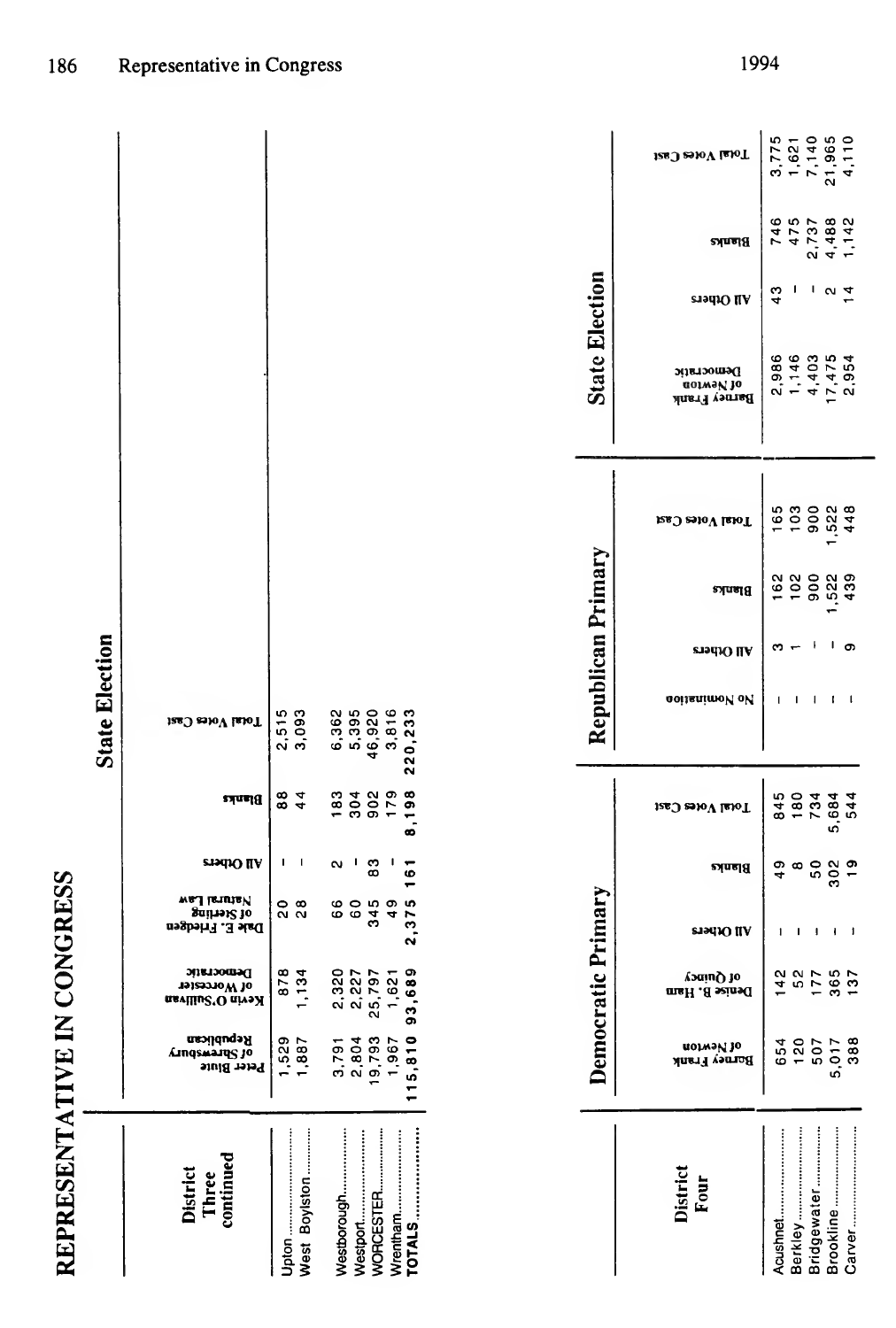REPRESENTATIVE IN CONGRESS

| <b>State Election</b> | Total Votes Cast                                    | 2,515<br>3,093 |                      |             |            | 882<br>88320<br>9834<br>984 |                                   | 220,233       |
|-----------------------|-----------------------------------------------------|----------------|----------------------|-------------|------------|-----------------------------|-----------------------------------|---------------|
|                       | <b>system</b>                                       | 84<br>84       |                      |             |            | 01<br>0002<br>0007          |                                   | 8,198         |
|                       | <b>SIMPO ITV</b>                                    |                |                      |             |            | 3                           |                                   |               |
|                       | wa I terutaki<br>Sunang Jo<br>Dale E. Friedgen      |                | <u>ន</u><br>ឧ        | 66          | $^{\circ}$ | 345<br>49                   |                                   | 2,375 161     |
|                       | Democratic<br>ntestoW 10<br><b>TRAILIUS O TIVON</b> |                | 878<br>1,134         |             |            |                             | 2.327<br>2.227<br>25,797<br>1.621 | 93,689        |
|                       | Republican<br>Amqsmangs Jo<br>Peter Blute           |                | 1,529<br>1,887       |             |            |                             | 3,793<br>2,804<br>1,967<br>1,967  | 15,810        |
|                       | District<br>Three<br>continued                      |                | <b>Nest Boylston</b> | Nestborough |            | WORCESTER                   |                                   | <b>COTALS</b> |

|                           | Total Votes Cast               | $3,775$<br>$7,621$<br>$7,7965$<br>$7,7965$<br>$7,7965$ |           |   |                                     |                |
|---------------------------|--------------------------------|--------------------------------------------------------|-----------|---|-------------------------------------|----------------|
|                           | एण्ड                           |                                                        |           |   | 245<br>247582<br>247447<br>24747    |                |
|                           | уп очрец                       | 43                                                     |           |   | N                                   | $\overline{1}$ |
| State Election            | рсшос<br>an jo<br>Barney Frank |                                                        |           |   | 2.986<br>0.1405<br>0.1405<br>0.1409 |                |
|                           | ποιει Vote<br>ນຮອງ s           |                                                        |           |   | <b>200234</b><br>200834             |                |
| enublican Primar          | ទាបចន្ទ្រ                      |                                                        |           |   | <b>222333</b>                       |                |
|                           | ни очн                         | œ                                                      |           |   |                                     | თ              |
|                           | aoitenimoV oV                  |                                                        | Ï         | I | Ï                                   | t              |
|                           | 15E.) S<br>υο γιατ             |                                                        |           |   | 8100444<br>1800444<br>81044         |                |
|                           | ञयजव                           | $\frac{9}{4}$                                          | $\bullet$ |   | 582                                 |                |
|                           | <b>PUCKER</b>                  | Í                                                      |           | ï |                                     | ĭ              |
| <b>Pemocratic Primary</b> | of Quincy<br>Denise B. Ham     |                                                        |           |   | 127557                              |                |
|                           | uoswaN Jo<br>Barney Frank      |                                                        |           |   | 854<br>1207<br>6.078<br>6.088       |                |
|                           | District<br>Four               |                                                        |           |   |                                     |                |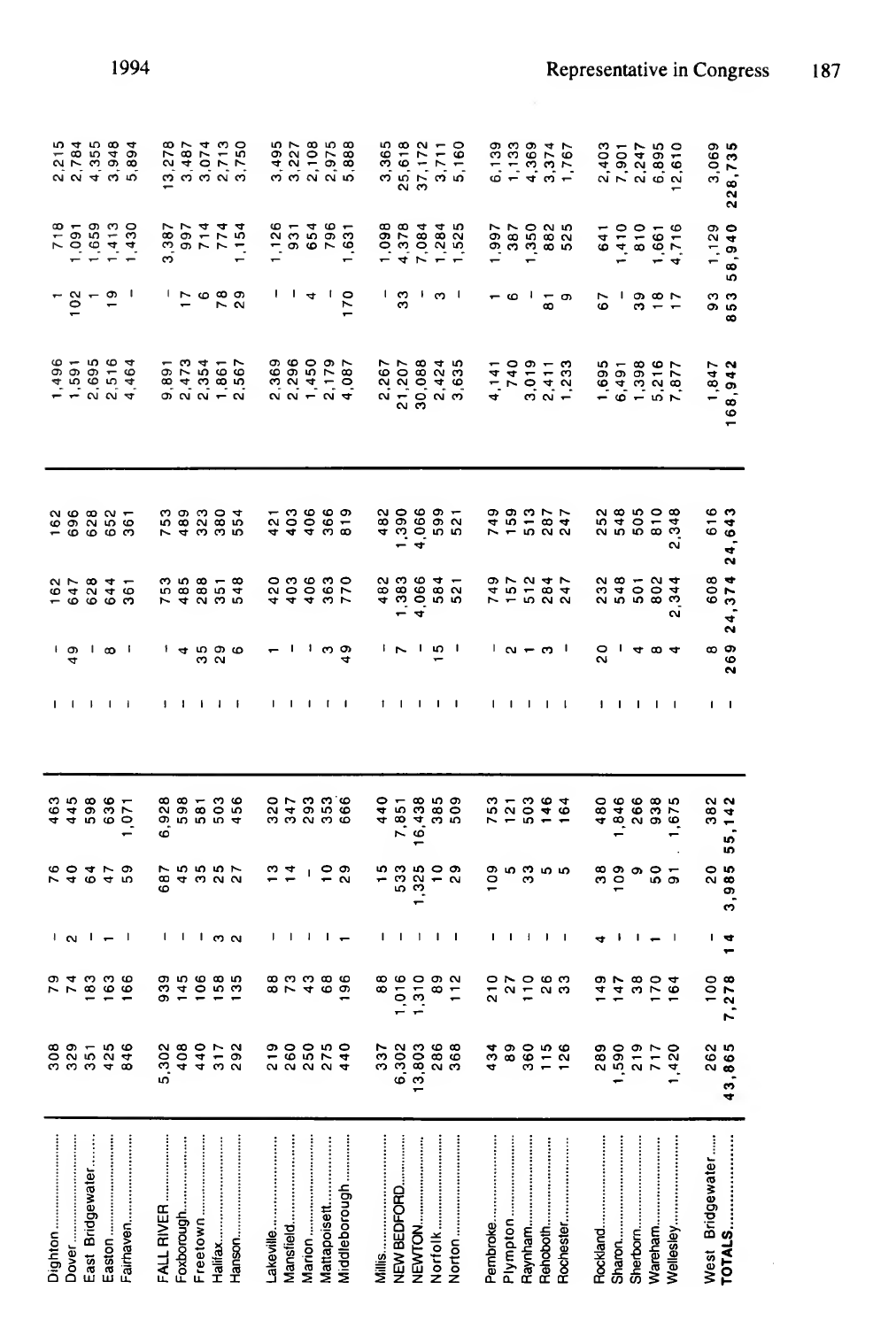|                  | 885 486<br>885 486         | 27829<br>27829         | 74645<br>00479                                                                                                                                                                                                       | 110861-00<br>010801-00<br>000000                              | ' ဒီ့          | 027845                           | 000007<br>000007            |                                                     | $\frac{1}{2}$ - $\frac{5}{2}$ |                                                                   |                                             |
|------------------|----------------------------|------------------------|----------------------------------------------------------------------------------------------------------------------------------------------------------------------------------------------------------------------|---------------------------------------------------------------|----------------|----------------------------------|-----------------------------|-----------------------------------------------------|-------------------------------|-------------------------------------------------------------------|---------------------------------------------|
| East Bridgewater |                            |                        |                                                                                                                                                                                                                      |                                                               |                |                                  |                             |                                                     |                               |                                                                   |                                             |
|                  |                            |                        |                                                                                                                                                                                                                      |                                                               | 1 ல            |                                  |                             |                                                     |                               |                                                                   |                                             |
|                  |                            |                        |                                                                                                                                                                                                                      |                                                               |                |                                  |                             | $1.59014$<br>$1.59014$<br>$1.6014$<br>$1.4$         |                               | $\begin{array}{c} 0.76 \\ -0.04 \\ -0.04 \\ -0.04 \\ \end{array}$ | 2123534<br>2123538<br>225538                |
| FALL RIVER       |                            |                        |                                                                                                                                                                                                                      |                                                               |                |                                  |                             |                                                     |                               |                                                                   |                                             |
|                  |                            |                        |                                                                                                                                                                                                                      |                                                               |                |                                  |                             |                                                     |                               |                                                                   |                                             |
|                  |                            |                        |                                                                                                                                                                                                                      |                                                               |                |                                  |                             |                                                     |                               |                                                                   |                                             |
|                  |                            |                        |                                                                                                                                                                                                                      |                                                               |                |                                  |                             |                                                     |                               |                                                                   |                                             |
|                  | 0.4452<br>0.4452<br>0.4452 | <b>94985</b><br>94988  | 8<br>8 4 5 8 8<br>8                                                                                                                                                                                                  |                                                               | 50<br>50       | 0000100<br>0000100<br>000001     | 000004<br>000000<br>0000    |                                                     | 00000                         |                                                                   |                                             |
|                  |                            |                        |                                                                                                                                                                                                                      |                                                               |                |                                  |                             |                                                     |                               | 0.387<br>1774<br>1774<br>1154                                     |                                             |
|                  |                            |                        |                                                                                                                                                                                                                      |                                                               |                |                                  |                             |                                                     |                               |                                                                   |                                             |
|                  |                            |                        |                                                                                                                                                                                                                      |                                                               |                |                                  |                             |                                                     |                               |                                                                   |                                             |
|                  |                            |                        |                                                                                                                                                                                                                      |                                                               |                |                                  |                             |                                                     |                               |                                                                   |                                             |
|                  |                            | 82386                  |                                                                                                                                                                                                                      | 0 1 9 9 9<br>0 4 9 9 9<br>0 9 0 9 9                           |                | 00900<br>00900<br>0099           | 130000                      |                                                     |                               |                                                                   |                                             |
| Mattapoisett     |                            |                        |                                                                                                                                                                                                                      |                                                               | $\frac{1}{9}$  |                                  |                             |                                                     |                               |                                                                   |                                             |
|                  |                            |                        |                                                                                                                                                                                                                      |                                                               |                |                                  |                             | 3896 25<br>2345 26<br>234 - 24                      | 170                           | 19540                                                             | 495<br>427 0 50<br>6 7 0 10<br>6 10 10      |
|                  |                            |                        |                                                                                                                                                                                                                      |                                                               |                |                                  |                             |                                                     |                               |                                                                   |                                             |
| NEW BEDFORD.     |                            |                        |                                                                                                                                                                                                                      |                                                               |                |                                  |                             |                                                     | ່ສ                            |                                                                   |                                             |
|                  | 337<br>3383<br>93838       |                        |                                                                                                                                                                                                                      | $7.85$<br>$7.838$<br>$1.838$<br>$1.838$<br>$1.838$<br>$1.809$ |                |                                  | $482$<br>$1,390$<br>$4,066$ | 2.267<br>2.2083<br>2.2083<br>2.303                  |                               |                                                                   | 3,365<br>3,612<br>3,5,716<br>5,160          |
|                  |                            |                        |                                                                                                                                                                                                                      |                                                               | $\overline{a}$ |                                  |                             |                                                     |                               |                                                                   |                                             |
|                  |                            |                        |                                                                                                                                                                                                                      |                                                               |                |                                  | 59<br>521                   |                                                     |                               |                                                                   |                                             |
|                  |                            |                        |                                                                                                                                                                                                                      |                                                               |                |                                  |                             |                                                     |                               |                                                                   |                                             |
|                  | 38852                      | 270                    | ၁<br>၁ - ၁ - ၁ - ၁<br>၁                                                                                                                                                                                              | <b>222464</b><br>222464                                       |                |                                  |                             |                                                     |                               |                                                                   |                                             |
|                  |                            |                        |                                                                                                                                                                                                                      |                                                               |                |                                  |                             |                                                     |                               |                                                                   |                                             |
|                  |                            |                        |                                                                                                                                                                                                                      |                                                               |                |                                  |                             |                                                     |                               |                                                                   |                                             |
|                  |                            | 26<br>33               |                                                                                                                                                                                                                      |                                                               |                | 757847<br>757847                 | 200227<br>200224            |                                                     | 5                             | 1<br>1985<br>1988<br>1988                                         |                                             |
| Rochester        |                            |                        |                                                                                                                                                                                                                      |                                                               |                |                                  |                             |                                                     |                               |                                                                   | $6.139$<br>$-1.369$<br>$-4.376$<br>$-6.376$ |
|                  | 000070<br>000770<br>00077  |                        |                                                                                                                                                                                                                      |                                                               | ខ              |                                  |                             |                                                     | 67                            |                                                                   |                                             |
|                  |                            |                        |                                                                                                                                                                                                                      |                                                               |                |                                  |                             |                                                     |                               |                                                                   |                                             |
|                  |                            | 11801<br>11801<br>1181 | $\overset{\bullet}{\phantom{\sigma}}\overset{\bullet}{\phantom{\sigma}}\overset{\bullet}{\phantom{\sigma}}\overset{\bullet}{\phantom{\sigma}}\overset{\bullet}{\phantom{\sigma}}\overset{\bullet}{\phantom{\sigma}}$ |                                                               |                |                                  |                             |                                                     | 325                           |                                                                   |                                             |
|                  |                            |                        |                                                                                                                                                                                                                      |                                                               |                |                                  |                             |                                                     |                               |                                                                   |                                             |
|                  |                            |                        |                                                                                                                                                                                                                      |                                                               |                |                                  | 222222<br>22222<br>22222    | $1.695$<br>$6.491$<br>$6.498$<br>$7.877$<br>$7.877$ |                               | 641<br>1,410<br>1,561<br>1,716                                    | 212222<br>20222<br>20222                    |
| West Bridgewater |                            |                        |                                                                                                                                                                                                                      |                                                               |                |                                  |                             |                                                     |                               |                                                                   |                                             |
|                  | 262<br>43,865              | 7,278                  | 20<br>3,985 55,142                                                                                                                                                                                                   |                                                               |                | $8$ 608 616<br>269 24,374 24,643 |                             | 1,847<br>168,942                                    | ာ ၁<br>၁<br>၁                 | 1,129<br>58,940                                                   | 3,069<br>228,735                            |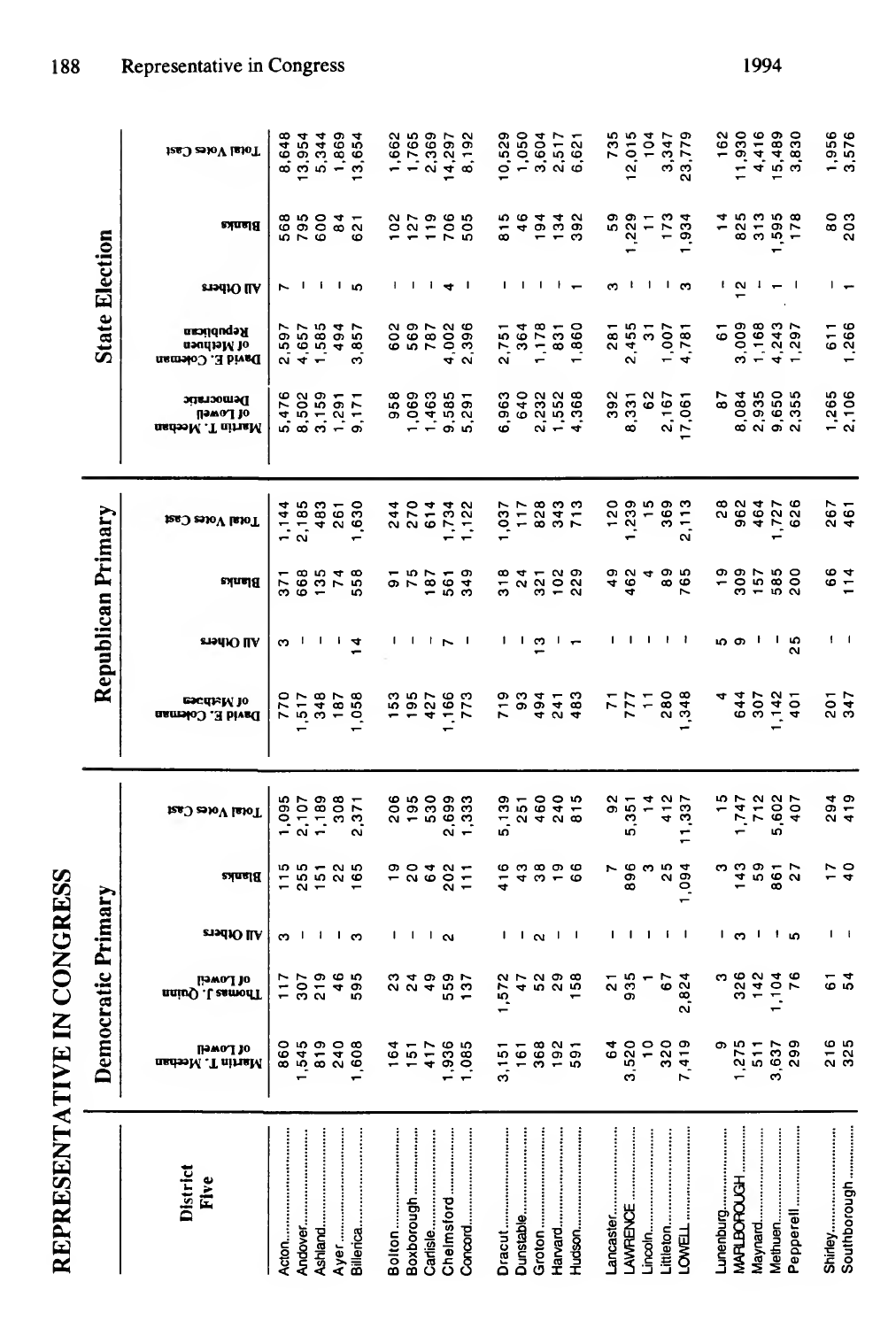|                  |                                                             | Democratic Primary          |                          |                             |                     |                                |                           | Republican Primary        |                                       |                                                                                         | <b>State Election</b>                              |           |                      |                                                         |
|------------------|-------------------------------------------------------------|-----------------------------|--------------------------|-----------------------------|---------------------|--------------------------------|---------------------------|---------------------------|---------------------------------------|-----------------------------------------------------------------------------------------|----------------------------------------------------|-----------|----------------------|---------------------------------------------------------|
| District<br>Five | <b>Pwell</b> 10<br>nadsoM .T nimaM                          | рэмо 1 јо<br>naioO. LeamodT | <b>VII Orbers</b>        | ऽत्रपद्यञ्च                 | Total Votes Cast    | вэсци у јо<br>David E. Coleman | <b>SISHIO IIV</b>         | <b>Elanks</b>             | Total Votes Cast                      | Democratic<br>of Lowell<br>nadsoM. T nirnaM                                             | Republican<br>David E. Coleman<br>David E. Coleman | srayo IIV | ध्यम्बद्             | Total Votes Cast                                        |
|                  |                                                             | $\frac{7}{11}$              | ო                        |                             | 1,095               |                                | s                         |                           |                                       |                                                                                         | 2,597                                              |           |                      |                                                         |
|                  |                                                             |                             |                          |                             | 2,107               |                                |                           |                           |                                       |                                                                                         |                                                    |           |                      |                                                         |
| Ashland          | 8645888                                                     | 307<br>2045                 | -1                       | 1552<br>1552                | 189                 | <b>25485</b><br>25485          |                           | 585758<br>58575           | 1,144<br>2,185<br>483                 |                                                                                         | 1,657<br>1,585                                     |           | 888821<br>8888       | 8,648<br>13,954<br>5,344                                |
|                  |                                                             |                             |                          |                             |                     |                                |                           |                           |                                       |                                                                                         |                                                    |           |                      |                                                         |
|                  |                                                             |                             | ്ത                       |                             | 308<br>2.371        |                                | $\frac{1}{4}$             |                           | 261<br>630                            | $\begin{array}{c} 476 \\ 8.502 \\ 8.729 \\ 6.729 \\ 7.75 \\ 8.75 \\ \hline \end{array}$ | 494<br>1857                                        |           |                      | 1,869<br>13.654                                         |
| <b>Bolton</b>    | 164                                                         |                             |                          |                             |                     |                                |                           |                           |                                       |                                                                                         |                                                    |           |                      |                                                         |
| Boxborough       | 151                                                         | 234997                      | $\mathbf{1}$             | <b>으음결음</b> 드               | 206<br>195          | $1500$<br>$1500$<br>$150$      |                           | 7570                      |                                       |                                                                                         | 802<br>569<br>787                                  |           | $102$<br>$727$       |                                                         |
|                  |                                                             |                             | ഻഻഻഻഻                    |                             | 530                 |                                | $\mathbf{I}$              |                           |                                       |                                                                                         |                                                    |           |                      |                                                         |
|                  |                                                             |                             |                          |                             |                     |                                |                           |                           |                                       |                                                                                         |                                                    |           |                      |                                                         |
|                  | $417$<br>$936$<br>$935$                                     |                             |                          |                             | 2,699<br>1,333      | 773                            |                           | 349                       | 222222                                |                                                                                         | 4,002<br>2,396                                     |           | 708                  | $1.766$<br>$-2.369$<br>$-2.369$<br>$-4.292$<br>$-6.492$ |
|                  |                                                             |                             |                          | 416                         |                     |                                |                           |                           |                                       |                                                                                         |                                                    |           |                      |                                                         |
| Dunstable        |                                                             |                             |                          |                             |                     |                                |                           |                           |                                       |                                                                                         |                                                    |           |                      |                                                         |
|                  | <sub>ភូមិ</sub><br>ភូមិ មិន<br>ភូមិ មិន                     | 574 58 59<br>54 58 59       |                          | $\frac{3}{3}$               | 5,139<br>251<br>460 | 19<br>03<br>194                | $\frac{1}{2}$             | <b>គ្គី ភ្នំ</b>          | 011825<br>1955<br>1955                |                                                                                         | $2.7820$<br>$-2.7800$<br>$-2.7800$<br>$-2.7800$    |           | 54 97 98<br>54 97 98 | 0.523<br>1.0504<br>0.517<br>0.621                       |
| Harvard          |                                                             |                             | $\blacksquare$           | $\frac{9}{6}$               | 240<br>815          | 241                            | $\overline{\phantom{a}}$  | $102$<br>$29$             |                                       |                                                                                         |                                                    |           |                      |                                                         |
|                  |                                                             |                             | $\overline{\phantom{a}}$ |                             |                     | 483                            |                           |                           |                                       |                                                                                         |                                                    |           |                      |                                                         |
|                  |                                                             |                             |                          |                             | 92                  |                                |                           |                           |                                       |                                                                                         |                                                    |           |                      |                                                         |
|                  |                                                             | 21<br>935                   |                          | 896                         | 5,351               |                                |                           | 462                       |                                       | 39.3<br>8.33<br>8                                                                       | 281<br>2,455<br>31                                 |           |                      |                                                         |
|                  |                                                             |                             |                          |                             | $74$<br>$412$       |                                | $\mathbf{1}$              |                           |                                       |                                                                                         |                                                    |           |                      |                                                         |
| Littleton        | $\begin{array}{c} 64 \\ 3.520 \\ 3.520 \\ 7.41 \end{array}$ | $-57$<br>$2.824$            |                          | " <sub>25</sub><br>25<br>25 |                     | 557288                         |                           | 89<br>765                 | $123 - 82$<br>$123 - 82$<br>$22 - 82$ |                                                                                         | 7007                                               |           | $58 - 52$            | $735$ $12,015$ $3,347$ $23,779$                         |
|                  |                                                             |                             |                          |                             | 11,337              |                                |                           |                           |                                       | $2,167$<br>17,061                                                                       |                                                    | C         |                      |                                                         |
|                  |                                                             |                             |                          |                             | ۴                   |                                |                           |                           |                                       | 5                                                                                       | 5                                                  |           |                      |                                                         |
| WARLBOROUGH.     |                                                             |                             |                          |                             |                     |                                | ი თ ∣                     |                           |                                       |                                                                                         |                                                    | ໍ້        |                      |                                                         |
|                  | 1,275<br>5.637<br>3.637                                     | 326<br>142                  |                          | 1498022                     | 1,747<br>712        | 644<br>307                     |                           | <b>2</b> 85 86<br>2 85 86 | 2824<br>964                           |                                                                                         |                                                    |           | 825<br>8582<br>8562  |                                                         |
|                  |                                                             | $.104$<br>76                |                          |                             | 5,602<br>407        | $142$<br>401                   |                           |                           | 727                                   |                                                                                         |                                                    |           |                      |                                                         |
|                  |                                                             |                             |                          |                             |                     |                                | <b>'</b> ട                |                           | 626                                   | 8.084<br>0.935<br>0.0.95<br>0.0.95                                                      | 009<br>1.043<br>1.297                              |           |                      | $1.930$<br>$1.489$<br>$1.489$<br>$1.489$<br>$3.830$     |
|                  |                                                             |                             |                          |                             |                     |                                |                           |                           |                                       |                                                                                         |                                                    |           |                      |                                                         |
| Southborough     | 216<br>325                                                  | 6 1<br>6 1                  |                          | $\frac{2}{4}$               | 294<br>419          | 201<br>347                     | $\mathbf{f} = \mathbf{I}$ | $66$<br>114               | 267<br>461                            | 1,265<br>2,106                                                                          | 611<br>1.266                                       |           | 80<br>203            | 1,956<br>3,576                                          |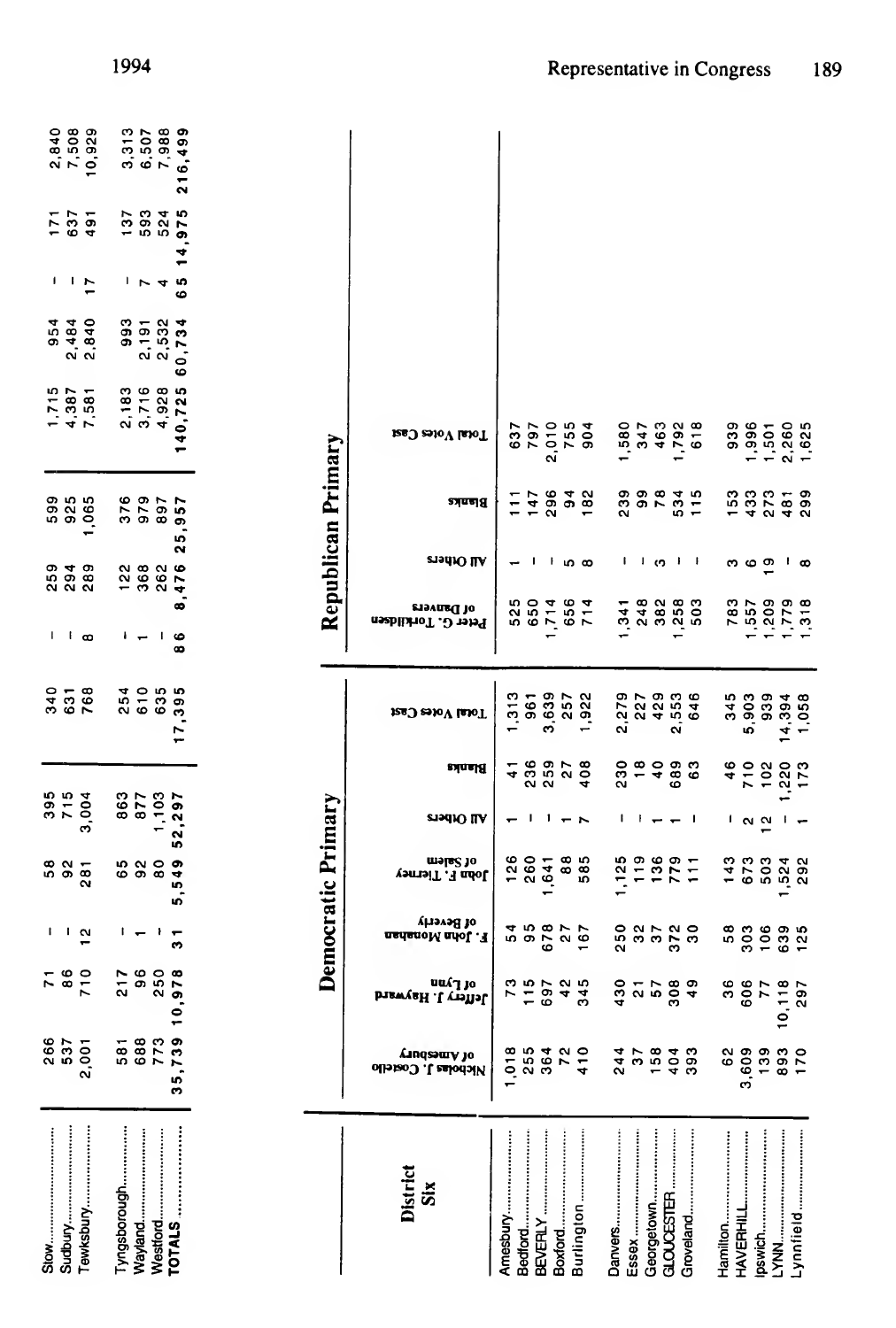| $\mathbf{58}$<br>266<br>537<br>2.001 | 710<br>258 | $\frac{1}{2}$ | 281   | 895<br>1904<br>1908<br>1903<br>1903 | 254<br>610<br>17,395<br>17,395<br>35<br>55<br>768 |        | 128<br>1882<br>262<br>9 4 9<br>9 9 9<br>9 9 9 | តិ<br>មិន<br>មិន<br>376<br>979<br>25,957<br>25,957 | 2,183<br>3,716<br>4,928<br>$\begin{array}{c} 1.715 \\ 4.387 \\ 7.581 \end{array}$ | 954<br>2.484<br>2.840<br>$993$<br>$2,532$<br>$2,532$ | $\frac{1}{2}$ |           | 2,840<br>7,508<br>10,929<br>7,988<br>7,988 |
|--------------------------------------|------------|---------------|-------|-------------------------------------|---------------------------------------------------|--------|-----------------------------------------------|----------------------------------------------------|-----------------------------------------------------------------------------------|------------------------------------------------------|---------------|-----------|--------------------------------------------|
| 5,739 10,978<br>688<br>773           |            |               | 5,549 | 52,29                               |                                                   | ı<br>9 | ,476                                          |                                                    | 40,725                                                                            | 60,734                                               |               | 65 14,975 |                                            |

|                    | Total Votes Cast                    |       |                            |   | 002023<br>002023<br>0020 |                                  |  |            | $1,580$<br>$-4,580$<br>$-5,61$<br>$-5,61$<br>$-5,61$ |   |                     |     |                                |                           |
|--------------------|-------------------------------------|-------|----------------------------|---|--------------------------|----------------------------------|--|------------|------------------------------------------------------|---|---------------------|-----|--------------------------------|---------------------------|
| Republican Primary | ध्यपन्ध                             |       | $7982$<br>$7932$           |   |                          |                                  |  |            | 83835                                                |   |                     |     |                                | 1<br>1975<br>1978<br>1989 |
|                    | enadio lLA                          |       |                            | ഗ | $\omega$                 |                                  |  |            | ł                                                    | ო | $\circ$             | თ   |                                | œ                         |
|                    | et Danvers<br>Peter G. Torkildsen   | 525   | 650<br>7587<br>658         |   |                          |                                  |  |            |                                                      |   |                     |     |                                | និងខ្លួន                  |
|                    | <b>Total Votes Cast</b>             |       | 13<br>1988<br>1988<br>1982 |   |                          | 2,212,22<br>2,225,22<br>2,225,22 |  |            |                                                      |   |                     |     | 945<br>000004<br>00004<br>0004 |                           |
|                    | ध्यप्रमध                            |       | 48828<br>48828             |   |                          | <u>ន</u> ួក ភូមិ ឆ្ន             |  |            |                                                      |   |                     |     | #2282                          |                           |
|                    | enadiO lLA                          |       |                            |   |                          |                                  |  |            |                                                      |   |                     | ∾ ∾ |                                |                           |
| Democratic Primary | wapeg Jo<br>yəməlT . Tamey          |       | 1887<br>2898               |   |                          | <b>ASSE</b>                      |  |            |                                                      |   |                     |     |                                |                           |
|                    | ot Beverly<br>nananoM anol. 1       |       | 1979<br>1989<br>199        |   |                          | នឹងខ្លួង                         |  |            |                                                      |   |                     |     | នី ខ្លួនដូច                    |                           |
|                    | uu ( po<br>Jeffery J. Hayward       |       | <b>25933</b>               |   |                          | 82583                            |  |            |                                                      |   | 85<br>606<br>10,118 |     |                                | 297                       |
|                    | Amqsəm v jo<br>Nicholas J. Costello | 1,018 | 254<br>267<br>270          |   |                          |                                  |  |            |                                                      |   | 62<br>0.609<br>139  |     | 893                            |                           |
|                    | District<br>Six                     |       |                            |   |                          |                                  |  | GLOUGESTER |                                                      |   |                     |     |                                |                           |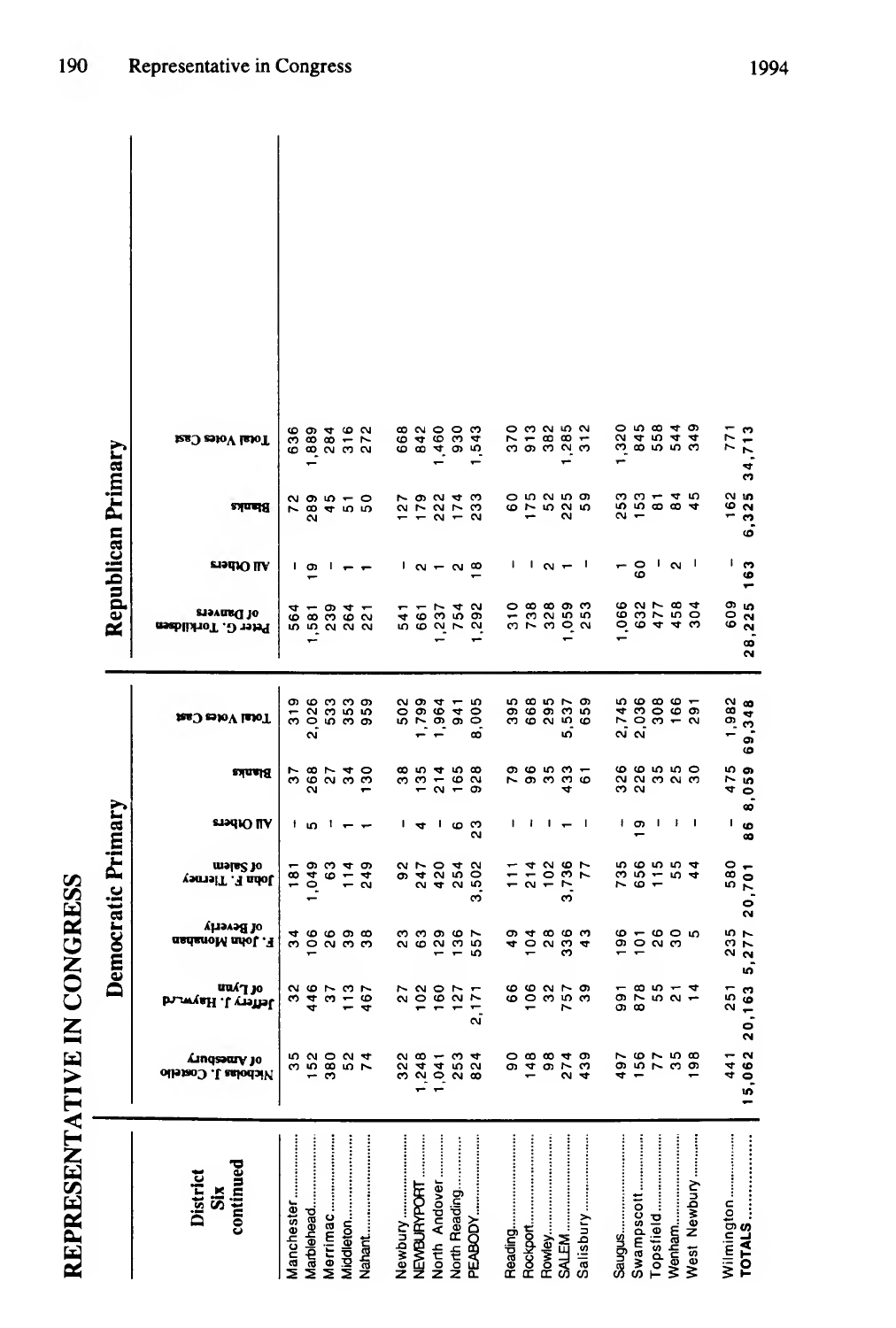| REPRESENTATIVE IN CONGRESS   |                                     |                                |                               |                                       |                  |                 |                                     |                                                                                                                          |                       |                               |                                 |  |
|------------------------------|-------------------------------------|--------------------------------|-------------------------------|---------------------------------------|------------------|-----------------|-------------------------------------|--------------------------------------------------------------------------------------------------------------------------|-----------------------|-------------------------------|---------------------------------|--|
|                              |                                     |                                |                               | Democratic Primary                    |                  |                 |                                     |                                                                                                                          |                       | Republican Primary            |                                 |  |
| continued<br>District<br>Six | Amqsoury jo<br>Nicholas J. Costello | uu⁄ 7 jo<br>Jeffery J. Hayward | of Beverly<br>F. John Monahan | <b>Wares</b> Jo<br>John F.<br>Tierney | <b>EIMPO ITV</b> | Blanks          | <b>Total Votes Cast</b>             | of Danvers<br>Peter G. Torkildsen                                                                                        | уп огрста             | sympag                        | <b>Total Votes Cast</b>         |  |
|                              | 35                                  |                                |                               | $\frac{181}{2}$                       |                  |                 | 319                                 | 564                                                                                                                      |                       |                               |                                 |  |
|                              |                                     | $3457$<br>$457$                | 3 9 8 9 9 9<br>3 9 8 9 9      |                                       |                  | <b>28232</b>    | 2,026<br>2,53<br>3,59<br>3,59       | $-581$                                                                                                                   | o                     | ្ត<br>កំពុង ២ ២               | 0<br>0 8 8 4 9 2<br>0 8 9 3 7 2 |  |
|                              | 128074                              |                                |                               |                                       |                  |                 |                                     | 239<br>264                                                                                                               |                       |                               |                                 |  |
|                              |                                     |                                |                               |                                       |                  |                 |                                     |                                                                                                                          |                       |                               |                                 |  |
|                              |                                     |                                |                               |                                       |                  |                 |                                     | 221                                                                                                                      |                       |                               |                                 |  |
|                              |                                     |                                |                               |                                       |                  |                 |                                     |                                                                                                                          |                       |                               |                                 |  |
| NEWBURYPORT                  |                                     |                                |                               |                                       |                  |                 |                                     |                                                                                                                          |                       |                               |                                 |  |
| North Andover                | 384588                              |                                | ខ្លួនដូច                      | 222222<br>22222<br>22222              |                  | 854588          | 02841<br>02841<br>02941             | 3<br>2021<br>2022<br>2022                                                                                                |                       | 2<br>2 0 2 1 2 3<br>2 1 2 3 2 | 884864<br>884864<br>88488       |  |
| North Reading                |                                     |                                |                               |                                       | $\frac{6}{2}$    |                 |                                     |                                                                                                                          | $\sim$ $\frac{8}{10}$ |                               |                                 |  |
| PEABODY                      |                                     |                                |                               |                                       |                  |                 |                                     |                                                                                                                          |                       |                               |                                 |  |
|                              |                                     |                                |                               |                                       |                  | 79              |                                     |                                                                                                                          |                       |                               |                                 |  |
|                              |                                     |                                |                               |                                       |                  |                 |                                     |                                                                                                                          |                       |                               |                                 |  |
|                              |                                     |                                | <b>a z a a a</b><br>4 p a a a | $77408$<br>$7736$<br>$3736$           |                  | 5.535           | 395<br>668<br>295                   | $\begin{smallmatrix} 0 & 0 & 0 & 0 & 0 \\ 7 & 7 & 0 & 0 & 0 \\ 0 & 0 & 0 & 0 & 0 \\ 0 & 0 & 0 & 0 & 0 \end{smallmatrix}$ | $\sim$ $\sim$         | <b>95889</b><br>8588          | $0.7882$<br>$0.7882$<br>$0.75$  |  |
|                              |                                     |                                |                               |                                       |                  |                 | 5,537<br>659                        |                                                                                                                          |                       |                               |                                 |  |
|                              | <b>98849</b><br>94954               | 88278<br><b>89278</b>          |                               |                                       |                  |                 |                                     |                                                                                                                          |                       |                               |                                 |  |
|                              |                                     |                                |                               |                                       |                  |                 |                                     | 1,066                                                                                                                    |                       |                               |                                 |  |
| Swampscott.                  |                                     |                                |                               | 735<br>656<br>115                     | $\frac{9}{1}$    | 88<br>828<br>82 |                                     |                                                                                                                          | - 9                   |                               |                                 |  |
|                              |                                     |                                |                               |                                       |                  |                 |                                     | 632<br>477                                                                                                               |                       |                               |                                 |  |
|                              | 497598                              |                                | 55885                         | 554                                   |                  | 25              | 2.745<br>2.036<br>2.9<br>2.9<br>2.9 | 458<br>304                                                                                                               | $\sqrt{2}$            |                               | 1<br>0000000<br>000000          |  |
|                              |                                     |                                |                               |                                       |                  | នី              |                                     |                                                                                                                          |                       |                               |                                 |  |
|                              | 441                                 | 251                            | 235                           | 580                                   |                  | 475             | 1,982                               | 609                                                                                                                      |                       |                               |                                 |  |
| <b>TOTALS </b>               |                                     | 15,062 20,163 5,277 20,701     |                               |                                       |                  |                 | 86 8,059 69,348                     | 28,225 163                                                                                                               |                       |                               | 162<br>6,325 34,713             |  |
|                              |                                     |                                |                               |                                       |                  |                 |                                     |                                                                                                                          |                       |                               |                                 |  |

Representative in Congress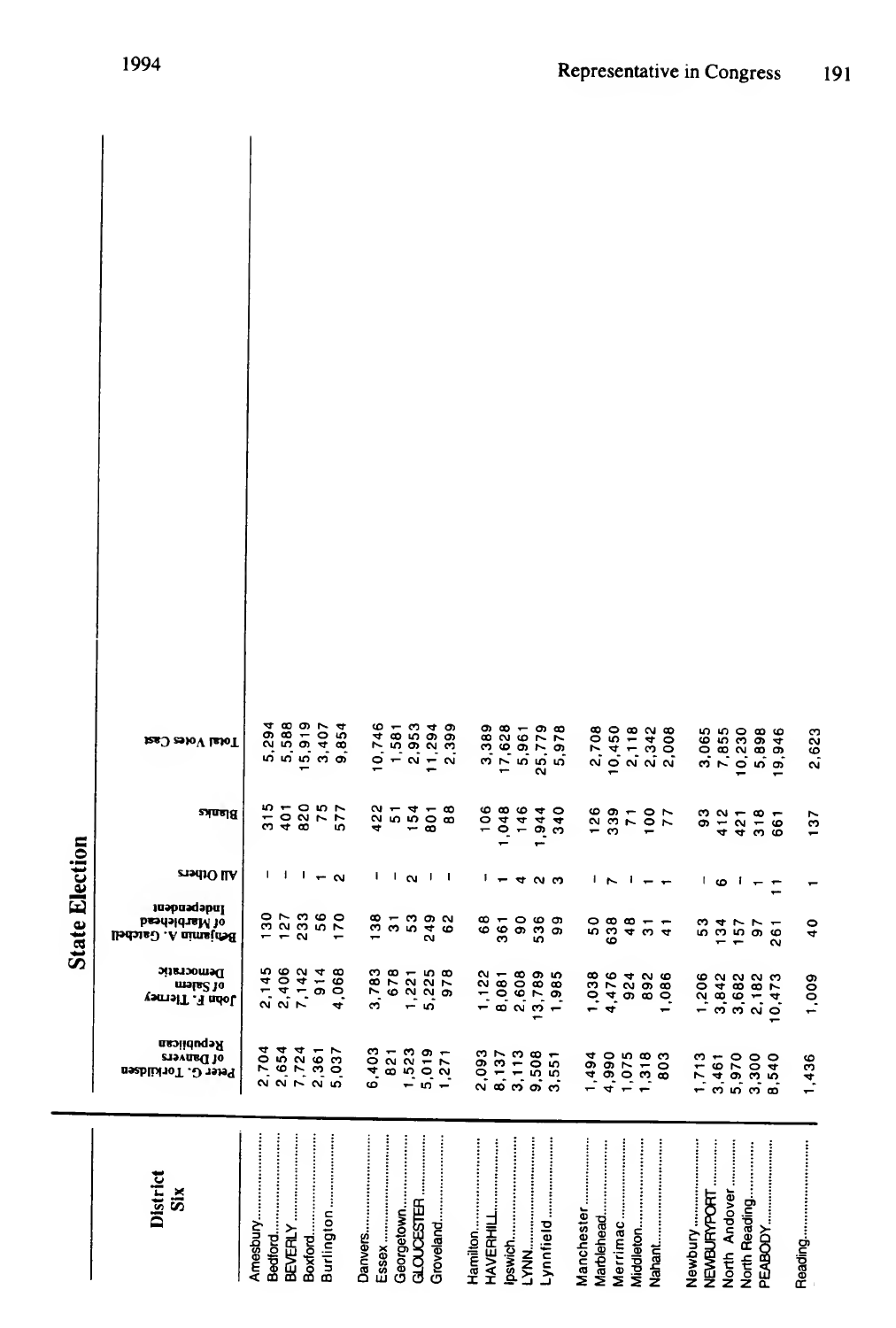|                       | Total Votes Cast                                     | 5,294<br>5,588<br>$\begin{array}{c} 15.919 \\ 3.407 \\ 9.854 \end{array}$ | $0.746$<br>$1.581$<br>$2.394$<br>$2.399$<br>$2.399$ | 3.389<br>17.628<br>5.961<br>5.978<br>5.978                                    | 2,708<br>2,450<br>2,342<br>2,008                    | 3.85<br>5.853<br>5.09.94<br>5.09.91                                      | 2,623         |
|-----------------------|------------------------------------------------------|---------------------------------------------------------------------------|-----------------------------------------------------|-------------------------------------------------------------------------------|-----------------------------------------------------|--------------------------------------------------------------------------|---------------|
|                       | ऽभण्डाञ्च                                            | 401<br>825<br>577<br>315                                                  | <u>ន្ទី ក្នុង ទី</u>                                | 58440                                                                         | 287.97<br>287                                       | <b>32556</b>                                                             | 137           |
|                       | <b>SIMPO ITV</b>                                     | 1<br>$ \alpha$                                                            | п<br>$\sqrt{2}$                                     | ı.<br>$  \alpha$ $\alpha$                                                     |                                                     | G<br>Ξ                                                                   |               |
| <b>State Election</b> | of Marblehead<br>Of Marblehead<br>Behave A. Gatchell | <b>22352</b>                                                              | 35338                                               | 85383                                                                         | នខ្លួង ក្នុ                                         | <b>2345761</b><br>2557                                                   | $\frac{1}{4}$ |
|                       | Democratic<br>of Salem<br>Democratic                 | 2145<br>1406<br>2114<br>2114<br>2114                                      | 3,783<br>678<br>5,225<br>5,288                      |                                                                               | 141980<br>014280<br>14080                           | $1,206$<br>3.842<br>3.682<br>$2,182$<br>$10,473$                         | 1,009         |
|                       | Republican<br>of Danvers<br>Peter G. Torkildsen      | 2.654<br>7.724<br>2.361<br>5.037<br>2.704                                 | 021825<br>021829<br>021929                          | 2,093<br>8,137<br>3,113<br>9,508<br>3,551                                     | $1,990$<br>$1,990$<br>$1,700$<br>$1,700$<br>$1,800$ | $\begin{array}{c} 1,713 \\ 3,461 \\ 5,970 \end{array}$<br>3,300<br>8,540 | 1,436         |
|                       | District<br>Six                                      |                                                                           | GLOUGESTER<br>Groveland                             | HAVERHILL<br>$\begin{bmatrix} \mathbf{Y} \mathbf{N} \mathbf{N} \end{bmatrix}$ |                                                     | NEWBURYPORT<br>North Reading<br>PEABODY                                  |               |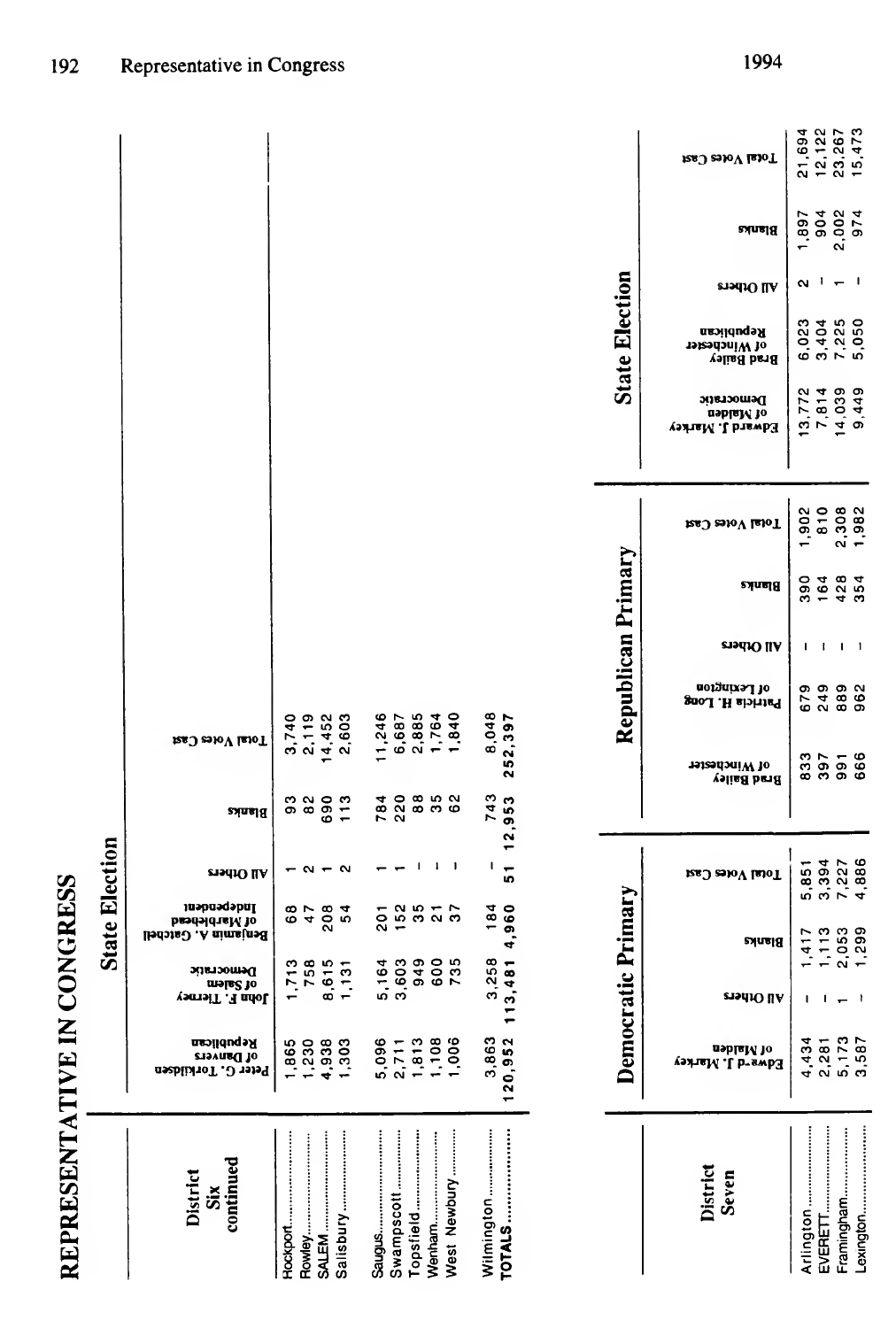| ;<br>; |
|--------|
|        |
|        |
|        |
| í      |
| ١<br>Ï |
| r.     |
|        |
|        |
|        |
|        |
|        |
|        |
|        |
|        |
|        |
|        |

|                              |                                                 |                                                   | <b>State Election</b>                                     |            |                                      |                                                                                                                                                                                                                                                                                               |  |
|------------------------------|-------------------------------------------------|---------------------------------------------------|-----------------------------------------------------------|------------|--------------------------------------|-----------------------------------------------------------------------------------------------------------------------------------------------------------------------------------------------------------------------------------------------------------------------------------------------|--|
| District<br>Six<br>continued | Republican<br>of Danvers<br>Peter G. Torkildsen | Democratic<br>gf Salem<br><b>Volna F. Tierney</b> | ta:) .A nimains&<br>bestsheheb<br>tashangshal<br>Gatebell | All Others | ध्यमध                                | Total Votes Cast                                                                                                                                                                                                                                                                              |  |
|                              |                                                 |                                                   | $\boldsymbol{68}$                                         |            |                                      |                                                                                                                                                                                                                                                                                               |  |
|                              |                                                 |                                                   |                                                           | N          |                                      |                                                                                                                                                                                                                                                                                               |  |
|                              |                                                 |                                                   |                                                           |            |                                      |                                                                                                                                                                                                                                                                                               |  |
|                              | 88888<br>88888<br>FF <del>F</del>               | $\frac{713}{758}$<br>8.615<br>1.131               | $47$<br>208<br>54                                         | $\sim$     | 8885<br>8885                         |                                                                                                                                                                                                                                                                                               |  |
|                              |                                                 |                                                   |                                                           |            |                                      | $\begin{array}{ccc} 0.740 & 0.740 \\ -0.7450 & 0.8550 \\ -0.7450 & 0.6650 \\ -0.7450 & 0.7650 \\ -0.7450 & 0.7650 \\ -0.7450 & 0.7650 \\ -0.7450 & 0.7650 \\ -0.7450 & 0.7650 \\ -0.7450 & 0.7650 \\ -0.7450 & 0.7650 \\ -0.7450 & 0.7650 \\ -0.7450 & 0.7650 \\ -0.7450 & 0.7650 \\ -0.7450$ |  |
| Swampscott.                  | $0.77808$<br>$0.77808$<br>$0.7778$              |                                                   | ក<br>កូតូ គូ ភូ ភូ<br>សូ ភូ ភូ ភូ                         |            | 8<br>8<br>8<br>8<br>8<br>8<br>8<br>8 |                                                                                                                                                                                                                                                                                               |  |
|                              |                                                 |                                                   |                                                           |            |                                      |                                                                                                                                                                                                                                                                                               |  |
|                              |                                                 |                                                   |                                                           | ı          |                                      |                                                                                                                                                                                                                                                                                               |  |
|                              |                                                 |                                                   |                                                           | I          |                                      |                                                                                                                                                                                                                                                                                               |  |
|                              | 3,863                                           |                                                   |                                                           |            |                                      |                                                                                                                                                                                                                                                                                               |  |
| <b>TOTALS </b>               | $3,863$ $3,258$ 184<br>120,952 113,481 4,960    |                                                   |                                                           |            | $-743$<br>51 12,953                  | 8,048<br>252,397                                                                                                                                                                                                                                                                              |  |
|                              |                                                 |                                                   |                                                           |            |                                      |                                                                                                                                                                                                                                                                                               |  |
|                              |                                                 |                                                   |                                                           |            |                                      |                                                                                                                                                                                                                                                                                               |  |

|                          | Total Votes Cast                                      |                   | 21,694<br>12,122<br>15,473<br>15,473 |                |                            |
|--------------------------|-------------------------------------------------------|-------------------|--------------------------------------|----------------|----------------------------|
|                          | ९७१ पा स                                              |                   | 0<br>00001<br>00001<br>0001          |                |                            |
|                          | <b>SIMPO TV</b>                                       | $\mathbf{\alpha}$ | ı                                    |                | Ï                          |
| <b>State Election</b>    | Republican<br>of Winche<br>iəys<br><b>Brad Bailey</b> |                   | 023<br>04025<br>0505<br>0505         |                |                            |
|                          | Democratic<br>asblaM to<br>Камага Ј. Магкеу           | 13,777            | 7,814                                | 4,039          | 9,449                      |
|                          | noV letoT<br>ו רוצו                                   |                   | 음 음<br>이 음                           | 2,308<br>1,982 |                            |
|                          | ਸਾਯਸ                                                  |                   | 884<br>84254<br>854                  |                |                            |
|                          | <b>PRO IN</b>                                         |                   |                                      |                | Í                          |
| <b>Aepublican Primar</b> | uotynixsJ 10<br>Patricia H. Long                      |                   | 0000<br>N 4000<br>C N 00             |                |                            |
|                          | of Winche<br>715<br><b>The Bailey</b>                 |                   | និងទីនឹ                              |                |                            |
|                          | Total Votes Cast                                      |                   |                                      |                | 553<br>532<br>5325<br>534. |
| emocratic Prima          | <b>Dianks</b>                                         |                   | $77.88$<br>$77.88$<br>$77.88$        |                |                            |
|                          | enadiO il A                                           | ï                 | ı                                    |                | ł                          |
|                          | пэргагу 10<br>ίэχ<br>Edwa-d J. Mar                    | 434               |                                      | 2,281          | 3,587                      |
|                          | District<br>Seven                                     |                   | EVERET                               | Framingham     |                            |